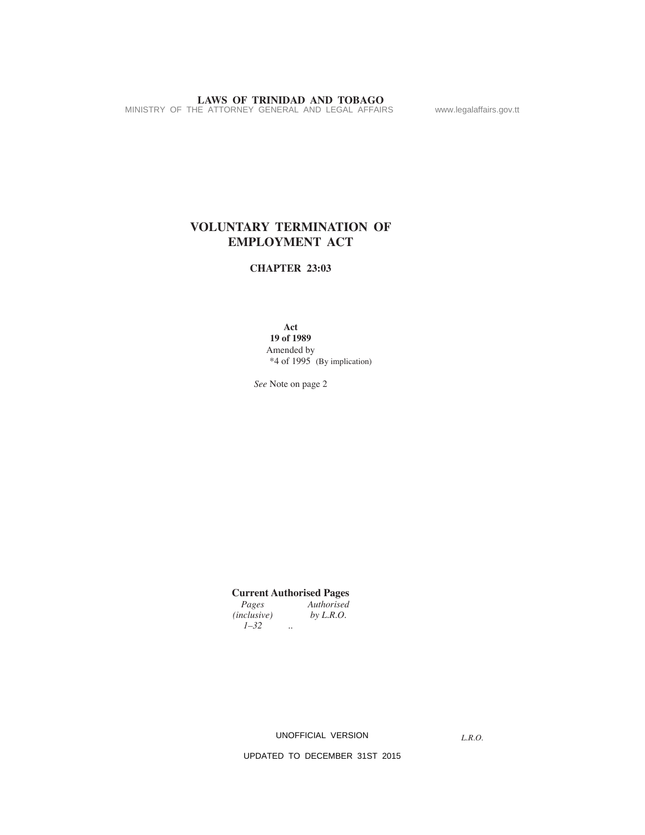# **LAWS OF TRINIDAD AND TOBAGO**<br>MINISTRY OF THE ATTORNEY GENERAL AND LEGAL AFFAIRS www.legalaffairs.gov.tt

# **VOLUNTARY TERMINATION OF EMPLOYMENT ACT**

# **CHAPTER 23:03**

**Act**

**19 of 1989** Amended by \*4 of 1995 (By implication)

*See* Note on page 2

# **Current Authorised Pages**

*Authorised*<br>*by L.R.O.*  $(inclusive)$ *1–32 ..*

UNOFFICIAL VERSION

*L.R.O.*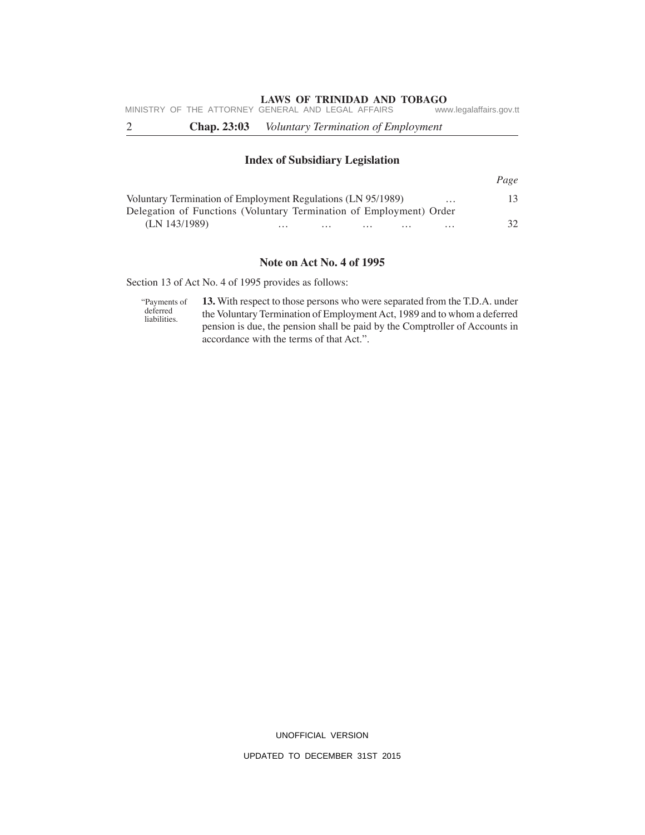|  | <b>Chap. 23:03</b> | <i>Voluntary Termination of Employment</i>         |                         |
|--|--------------------|----------------------------------------------------|-------------------------|
|  |                    | MINISTRY OF THE ATTORNEY GENERAL AND LEGAL AFFAIRS | www.legalaffairs.gov.tt |

# **Index of Subsidiary Legislation**

|                                                                     |          |          |          |          |          | Page          |
|---------------------------------------------------------------------|----------|----------|----------|----------|----------|---------------|
| Voluntary Termination of Employment Regulations (LN 95/1989)        |          |          |          |          | $\cdots$ |               |
| Delegation of Functions (Voluntary Termination of Employment) Order |          |          |          |          |          |               |
| (LN 143/1989)                                                       | $\cdots$ | $\cdots$ | $\cdots$ | $\cdots$ | $\cdots$ | $\mathcal{R}$ |

# **Note on Act No. 4 of 1995**

Section 13 of Act No. 4 of 1995 provides as follows:

**13.** With respect to those persons who were separated from the T.D.A. under the Voluntary Termination of Employment Act, 1989 and to whom a deferred pension is due, the pension shall be paid by the Comptroller of Accounts in accordance with the terms of that Act.". "Payments of deferred liabilities.

UNOFFICIAL VERSION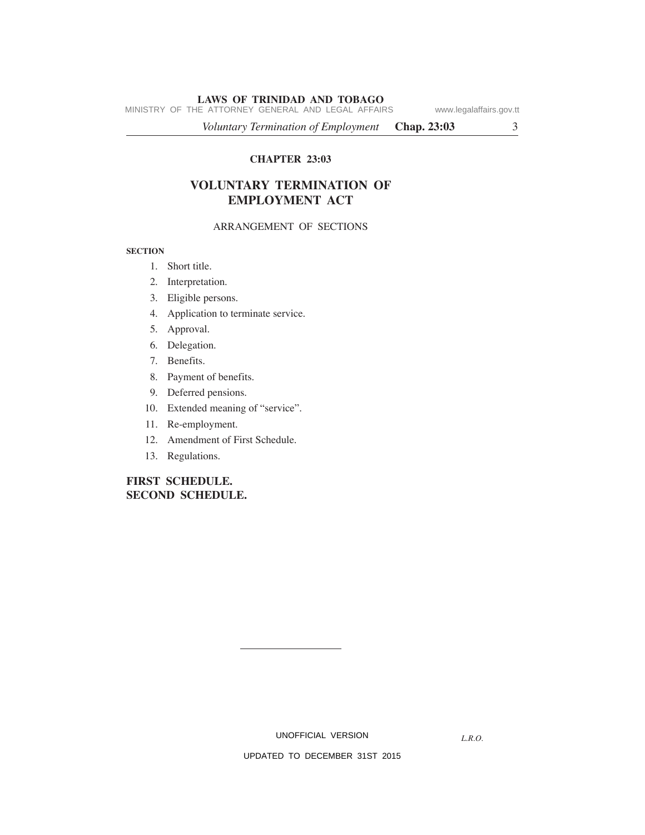MINISTRY OF THE ATTORNEY GENERAL AND LEGAL AFFAIRS www.legalaffairs.gov.tt

*Voluntary Termination of Employment* **Chap. 23:03** 3

# **CHAPTER 23:03**

# **VOLUNTARY TERMINATION OF EMPLOYMENT ACT**

# ARRANGEMENT OF SECTIONS

#### **SECTION**

- 1. Short title.
- 2. Interpretation.
- 3. Eligible persons.
- 4. Application to terminate service.
- 5. Approval.
- 6. Delegation.
- 7. Benefits.
- 8. Payment of benefits.
- 9. Deferred pensions.
- 10. Extended meaning of "service".
- 11. Re-employment.
- 12. Amendment of First Schedule.
- 13. Regulations.

# **FIRST SCHEDULE. SECOND SCHEDULE.**

UNOFFICIAL VERSION

*L.R.O.*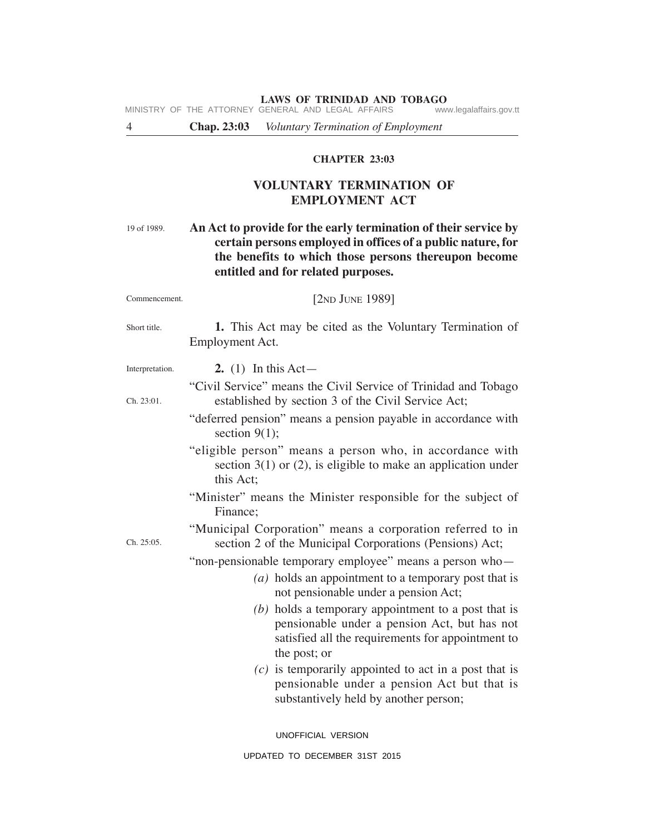**LAWS OF TRINIDAD AND TOBAGO**<br>GENERAL AND LEGAL AFFAIRS www.legalaffairs.gov.tt MINISTRY OF THE ATTORNEY GENERAL AND LEGAL AFFAIRS

4 **Chap. 23:03** *Voluntary Termination of Employment*

# **CHAPTER 23:03**

# **VOLUNTARY TERMINATION OF EMPLOYMENT ACT**

# **An Act to provide for the early termination of their service by certain persons employed in offices of a public nature, for the benefits to which those persons thereupon become entitled and for related purposes.** 19 of 1989.

| Commencement.   | [ $2ND$ JUNE 1989]                                                                                                                                                         |  |  |  |
|-----------------|----------------------------------------------------------------------------------------------------------------------------------------------------------------------------|--|--|--|
| Short title.    | 1. This Act may be cited as the Voluntary Termination of<br>Employment Act.                                                                                                |  |  |  |
| Interpretation. | 2. (1) In this Act—                                                                                                                                                        |  |  |  |
| Ch. 23:01.      | "Civil Service" means the Civil Service of Trinidad and Tobago<br>established by section 3 of the Civil Service Act;                                                       |  |  |  |
|                 | "deferred pension" means a pension payable in accordance with<br>section $9(1)$ ;                                                                                          |  |  |  |
|                 | "eligible person" means a person who, in accordance with<br>section $3(1)$ or (2), is eligible to make an application under<br>this Act:                                   |  |  |  |
|                 | "Minister" means the Minister responsible for the subject of<br>Finance:                                                                                                   |  |  |  |
| Ch. 25:05.      | "Municipal Corporation" means a corporation referred to in<br>section 2 of the Municipal Corporations (Pensions) Act;                                                      |  |  |  |
|                 | "non-pensionable temporary employee" means a person who-<br>(a) holds an appointment to a temporary post that is<br>not pensionable under a pension Act;                   |  |  |  |
|                 | $(b)$ holds a temporary appointment to a post that is<br>pensionable under a pension Act, but has not<br>satisfied all the requirements for appointment to<br>the post; or |  |  |  |
|                 | $(c)$ is temporarily appointed to act in a post that is<br>pensionable under a pension Act but that is<br>substantively held by another person;                            |  |  |  |
|                 | UNOFFICIAL VERSION                                                                                                                                                         |  |  |  |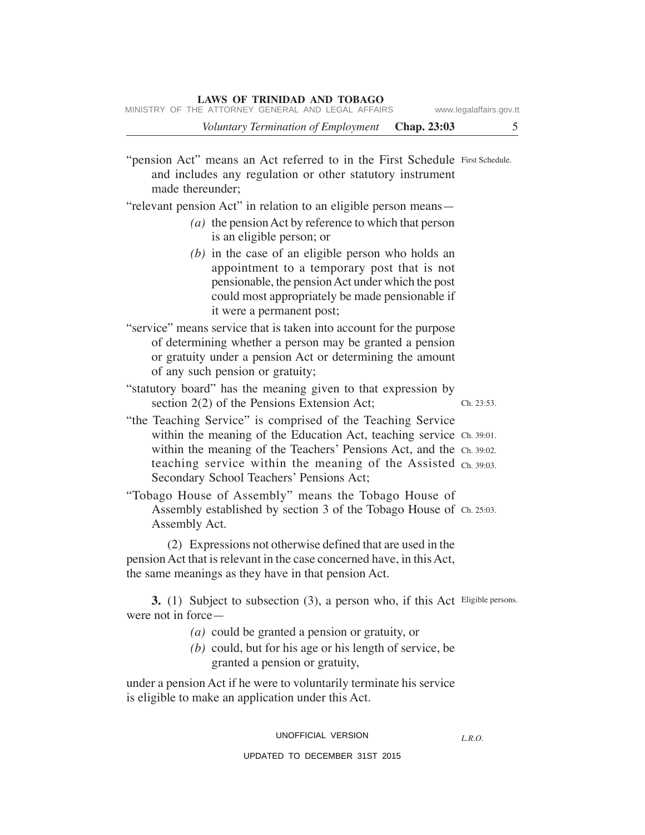*Voluntary Termination of Employment* **Chap. 23:03** 5

"pension Act" means an Act referred to in the First Schedule First Schedule. and includes any regulation or other statutory instrument made thereunder; "relevant pension Act" in relation to an eligible person means— *(a)* the pension Act by reference to which that person is an eligible person; or *(b)* in the case of an eligible person who holds an appointment to a temporary post that is not pensionable, the pension Act under which the post could most appropriately be made pensionable if it were a permanent post; "service" means service that is taken into account for the purpose of determining whether a person may be granted a pension or gratuity under a pension Act or determining the amount of any such pension or gratuity; "statutory board" has the meaning given to that expression by section 2(2) of the Pensions Extension Act; "the Teaching Service" is comprised of the Teaching Service within the meaning of the Education Act, teaching service Ch. 39:01. within the meaning of the Teachers' Pensions Act, and the Ch. 39:02. teaching service within the meaning of the Assisted Ch. 39:03. Secondary School Teachers' Pensions Act; "Tobago House of Assembly" means the Tobago House of Assembly established by section 3 of the Tobago House of Ch. 25:03. Assembly Act. (2) Expressions not otherwise defined that are used in the pension Act that is relevant in the case concerned have, in this Act, the same meanings as they have in that pension Act. **3.** (1) Subject to subsection (3), a person who, if this Act Eligible persons. were not in force— *(a)* could be granted a pension or gratuity, or *(b)* could, but for his age or his length of service, be granted a pension or gratuity, under a pension Act if he were to voluntarily terminate his service is eligible to make an application under this Act. Ch. 23:53.

UNOFFICIAL VERSION

*L.R.O.*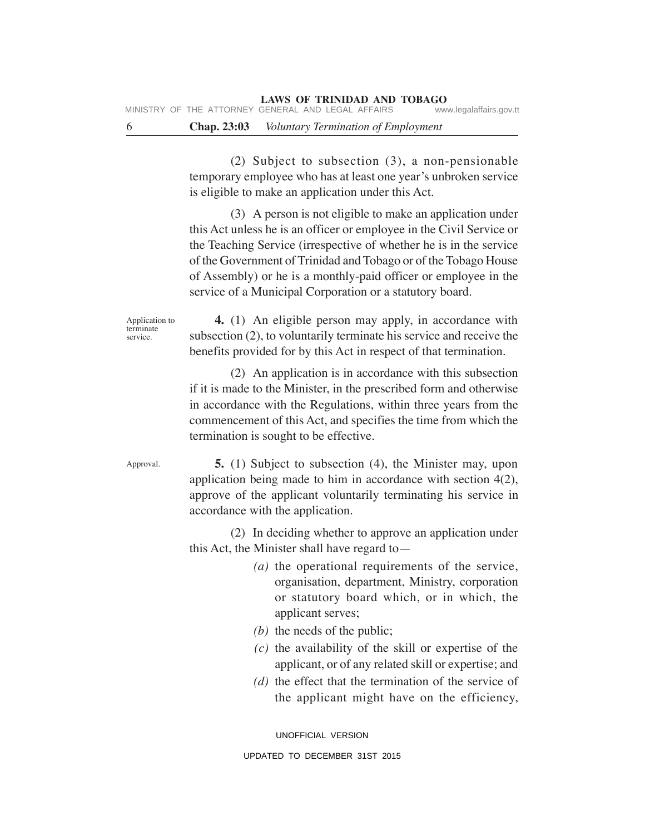MINISTRY OF THE ATTORNEY GENERAL AND LEGAL AFFAIRS

6 **Chap. 23:03** *Voluntary Termination of Employment*

(2) Subject to subsection (3), a non-pensionable temporary employee who has at least one year's unbroken service is eligible to make an application under this Act.

(3) A person is not eligible to make an application under this Act unless he is an officer or employee in the Civil Service or the Teaching Service (irrespective of whether he is in the service of the Government of Trinidad and Tobago or of the Tobago House of Assembly) or he is a monthly-paid officer or employee in the service of a Municipal Corporation or a statutory board.

Application to terminate service.

**4.** (1) An eligible person may apply, in accordance with subsection (2), to voluntarily terminate his service and receive the benefits provided for by this Act in respect of that termination.

(2) An application is in accordance with this subsection if it is made to the Minister, in the prescribed form and otherwise in accordance with the Regulations, within three years from the commencement of this Act, and specifies the time from which the termination is sought to be effective.

Approval.

**5.** (1) Subject to subsection (4), the Minister may, upon application being made to him in accordance with section 4(2), approve of the applicant voluntarily terminating his service in accordance with the application.

(2) In deciding whether to approve an application under this Act, the Minister shall have regard to—

- *(a)* the operational requirements of the service, organisation, department, Ministry, corporation or statutory board which, or in which, the applicant serves;
- *(b)* the needs of the public;
- *(c)* the availability of the skill or expertise of the applicant, or of any related skill or expertise; and
- *(d)* the effect that the termination of the service of the applicant might have on the efficiency,

UNOFFICIAL VERSION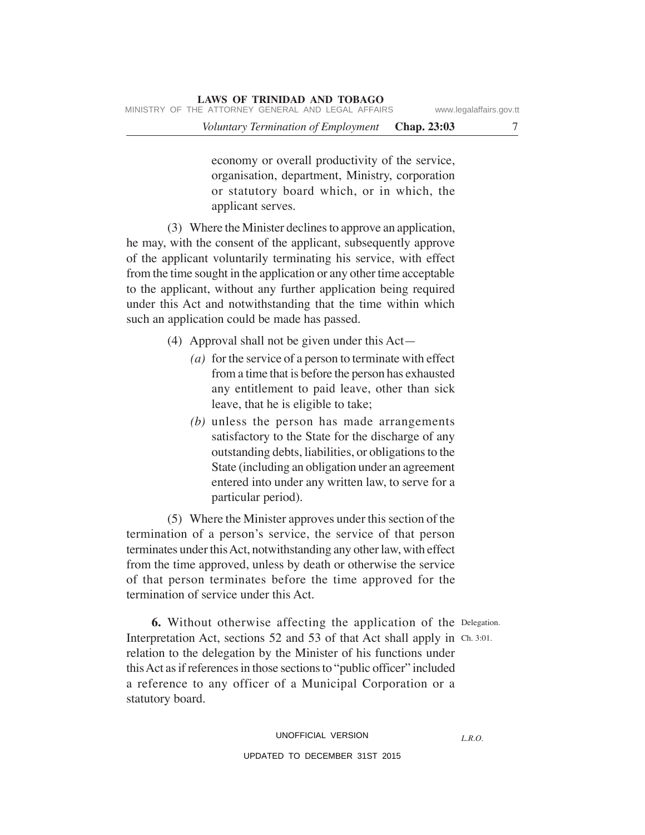economy or overall productivity of the service, organisation, department, Ministry, corporation or statutory board which, or in which, the applicant serves.

(3) Where the Minister declines to approve an application, he may, with the consent of the applicant, subsequently approve of the applicant voluntarily terminating his service, with effect from the time sought in the application or any other time acceptable to the applicant, without any further application being required under this Act and notwithstanding that the time within which such an application could be made has passed.

- (4) Approval shall not be given under this Act—
	- *(a)* for the service of a person to terminate with effect from a time that is before the person has exhausted any entitlement to paid leave, other than sick leave, that he is eligible to take;
	- *(b)* unless the person has made arrangements satisfactory to the State for the discharge of any outstanding debts, liabilities, or obligations to the State (including an obligation under an agreement entered into under any written law, to serve for a particular period).

(5) Where the Minister approves under this section of the termination of a person's service, the service of that person terminates under this Act, notwithstanding any other law, with effect from the time approved, unless by death or otherwise the service of that person terminates before the time approved for the termination of service under this Act.

*L.R.O.*

**6.** Without otherwise affecting the application of the Delegation. Interpretation Act, sections 52 and 53 of that Act shall apply in Ch. 3:01. relation to the delegation by the Minister of his functions under this Act as if references in those sections to "public officer" included a reference to any officer of a Municipal Corporation or a statutory board.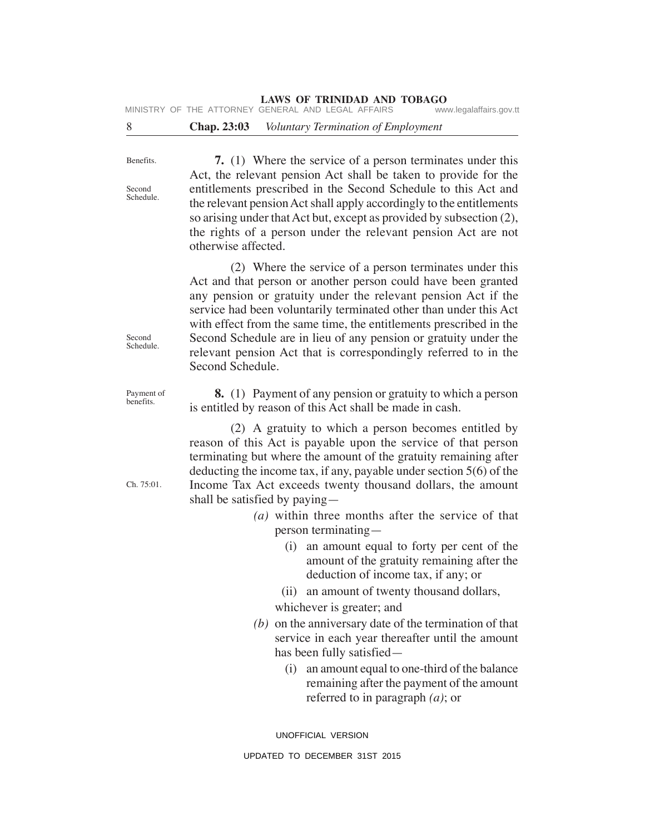# **LAWS OF TRINIDAD AND TOBAGO**<br>GENERAL AND LEGAL AFFAIRS www.legalaffairs.gov.tt

MINISTRY OF THE ATTORNEY GENERAL AND LEGAL AFFAIRS

# 8 **Chap. 23:03** *Voluntary Termination of Employment*

Benefits.

Second Schedule.

**7.** (1) Where the service of a person terminates under this Act, the relevant pension Act shall be taken to provide for the entitlements prescribed in the Second Schedule to this Act and the relevant pension Act shall apply accordingly to the entitlements so arising under that Act but, except as provided by subsection (2), the rights of a person under the relevant pension Act are not otherwise affected.

(2) Where the service of a person terminates under this Act and that person or another person could have been granted any pension or gratuity under the relevant pension Act if the service had been voluntarily terminated other than under this Act with effect from the same time, the entitlements prescribed in the Second Schedule are in lieu of any pension or gratuity under the relevant pension Act that is correspondingly referred to in the Second Schedule.

**8.** (1) Payment of any pension or gratuity to which a person is entitled by reason of this Act shall be made in cash.

(2) A gratuity to which a person becomes entitled by reason of this Act is payable upon the service of that person terminating but where the amount of the gratuity remaining after deducting the income tax, if any, payable under section 5(6) of the Income Tax Act exceeds twenty thousand dollars, the amount shall be satisfied by paying—

- *(a)* within three months after the service of that person terminating—
	- (i) an amount equal to forty per cent of the amount of the gratuity remaining after the deduction of income tax, if any; or
	- (ii) an amount of twenty thousand dollars,
	- whichever is greater; and
- *(b)* on the anniversary date of the termination of that service in each year thereafter until the amount has been fully satisfied—
	- (i) an amount equal to one-third of the balance remaining after the payment of the amount referred to in paragraph *(a)*; or

UNOFFICIAL VERSION

Second Schedule.

Payment of benefits.

Ch. 75:01.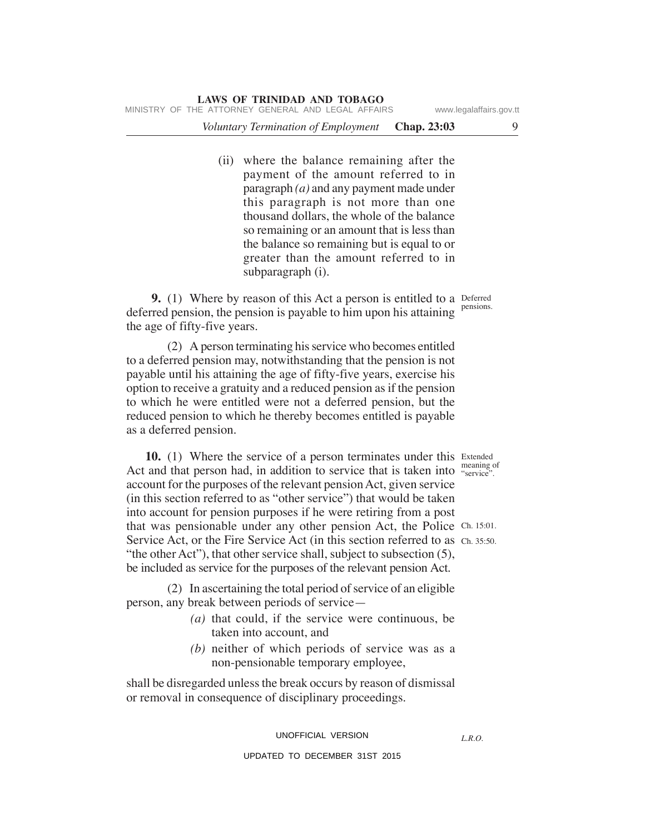(ii) where the balance remaining after the payment of the amount referred to in paragraph *(a)* and any payment made under this paragraph is not more than one thousand dollars, the whole of the balance so remaining or an amount that is less than the balance so remaining but is equal to or greater than the amount referred to in subparagraph (i).

**9.** (1) Where by reason of this Act a person is entitled to a Deferred deferred pension, the pension is payable to him upon his attaining pensions. the age of fifty-five years.

(2) A person terminating his service who becomes entitled to a deferred pension may, notwithstanding that the pension is not payable until his attaining the age of fifty-five years, exercise his option to receive a gratuity and a reduced pension as if the pension to which he were entitled were not a deferred pension, but the reduced pension to which he thereby becomes entitled is payable as a deferred pension.

**10.** (1) Where the service of a person terminates under this Extended Act and that person had, in addition to service that is taken into "service". account for the purposes of the relevant pension Act, given service (in this section referred to as "other service") that would be taken into account for pension purposes if he were retiring from a post that was pensionable under any other pension Act, the Police Ch. 15:01. Service Act, or the Fire Service Act (in this section referred to as Ch. 35:50. "the other Act"), that other service shall, subject to subsection (5), be included as service for the purposes of the relevant pension Act.

(2) In ascertaining the total period of service of an eligible person, any break between periods of service—

- *(a)* that could, if the service were continuous, be taken into account, and
- *(b)* neither of which periods of service was as a non-pensionable temporary employee,

shall be disregarded unless the break occurs by reason of dismissal or removal in consequence of disciplinary proceedings.

UNOFFICIAL VERSION

#### UPDATED TO DECEMBER 31ST 2015

*L.R.O.*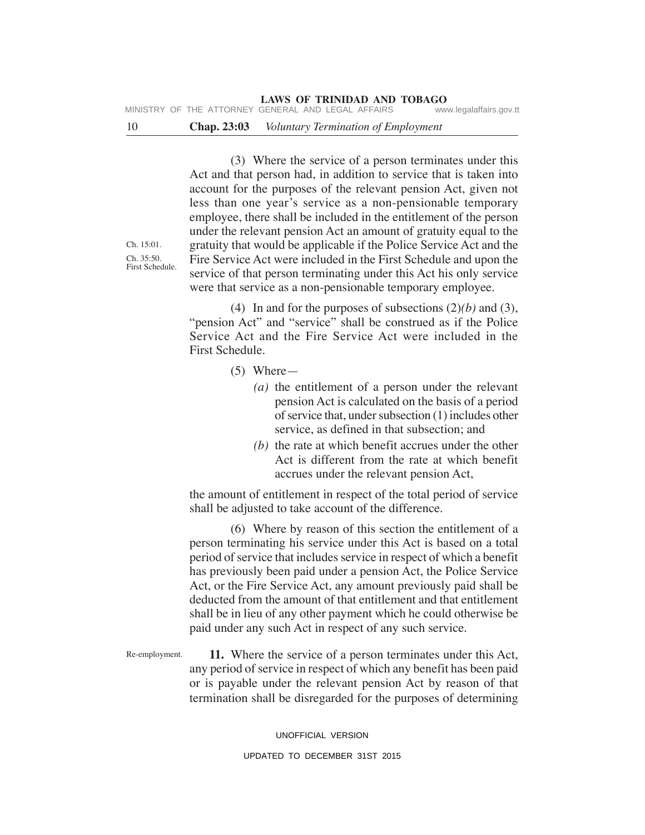**LAWS OF TRINIDAD AND TOBAGO**<br>GENERAL AND LEGAL AFFAIRS www.legalaffairs.gov.tt MINISTRY OF THE ATTORNEY GENERAL AND LEGAL AFFAIRS

# 10 **Chap. 23:03** *Voluntary Termination of Employment*

(3) Where the service of a person terminates under this Act and that person had, in addition to service that is taken into account for the purposes of the relevant pension Act, given not less than one year's service as a non-pensionable temporary employee, there shall be included in the entitlement of the person under the relevant pension Act an amount of gratuity equal to the gratuity that would be applicable if the Police Service Act and the Fire Service Act were included in the First Schedule and upon the service of that person terminating under this Act his only service were that service as a non-pensionable temporary employee.

(4) In and for the purposes of subsections (2)*(b)* and (3), "pension Act" and "service" shall be construed as if the Police Service Act and the Fire Service Act were included in the First Schedule.

- (5) Where—
	- *(a)* the entitlement of a person under the relevant pension Act is calculated on the basis of a period of service that, under subsection (1) includes other service, as defined in that subsection; and
	- *(b)* the rate at which benefit accrues under the other Act is different from the rate at which benefit accrues under the relevant pension Act,

the amount of entitlement in respect of the total period of service shall be adjusted to take account of the difference.

(6) Where by reason of this section the entitlement of a person terminating his service under this Act is based on a total period of service that includes service in respect of which a benefit has previously been paid under a pension Act, the Police Service Act, or the Fire Service Act, any amount previously paid shall be deducted from the amount of that entitlement and that entitlement shall be in lieu of any other payment which he could otherwise be paid under any such Act in respect of any such service.

**11.** Where the service of a person terminates under this Act, any period of service in respect of which any benefit has been paid or is payable under the relevant pension Act by reason of that termination shall be disregarded for the purposes of determining Re-employment.

> UNOFFICIAL VERSION UPDATED TO DECEMBER 31ST 2015

Ch. 15:01. Ch. 35:50. First Schedule.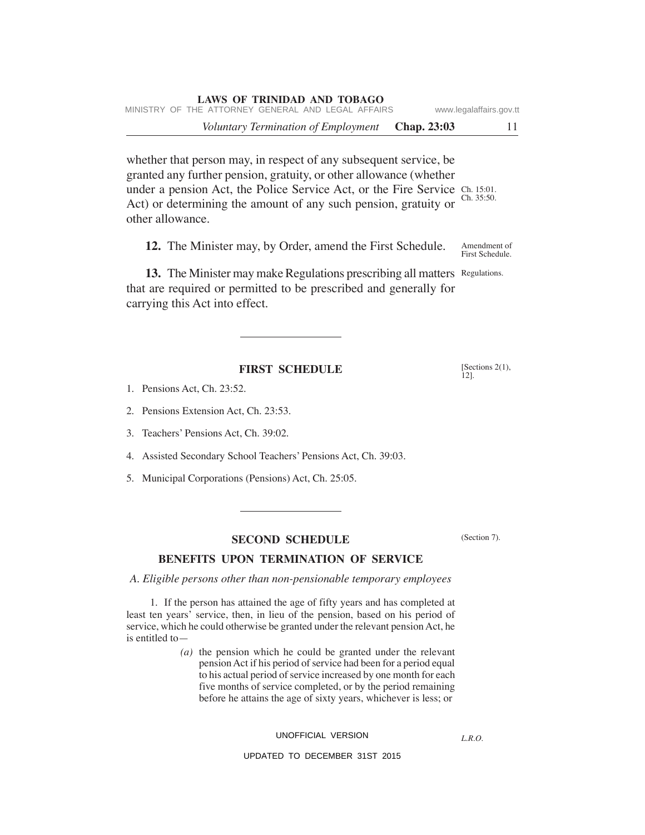whether that person may, in respect of any subsequent service, be granted any further pension, gratuity, or other allowance (whether under a pension Act, the Police Service Act, or the Fire Service Ch. 15:01. Act) or determining the amount of any such pension, gratuity or other allowance. Ch. 35:50.

**12.** The Minister may, by Order, amend the First Schedule. Amendment of First Schedule.

13. The Minister may make Regulations prescribing all matters Regulations. that are required or permitted to be prescribed and generally for carrying this Act into effect.

# **FIRST SCHEDULE**

- 1. Pensions Act, Ch. 23:52.
- 2. Pensions Extension Act, Ch. 23:53.
- 3. Teachers' Pensions Act, Ch. 39:02.
- 4. Assisted Secondary School Teachers' Pensions Act, Ch. 39:03.
- 5. Municipal Corporations (Pensions) Act, Ch. 25:05.
	- **SECOND SCHEDULE**

# **BENEFITS UPON TERMINATION OF SERVICE**

*A. Eligible persons other than non-pensionable temporary employees*

1. If the person has attained the age of fifty years and has completed at least ten years' service, then, in lieu of the pension, based on his period of service, which he could otherwise be granted under the relevant pension Act, he is entitled to—

> *(a)* the pension which he could be granted under the relevant pension Act if his period of service had been for a period equal to his actual period of service increased by one month for each five months of service completed, or by the period remaining before he attains the age of sixty years, whichever is less; or

# UNOFFICIAL VERSION

# UPDATED TO DECEMBER 31ST 2015

(Section 7).

*L.R.O.* 

[Sections 2(1), 12].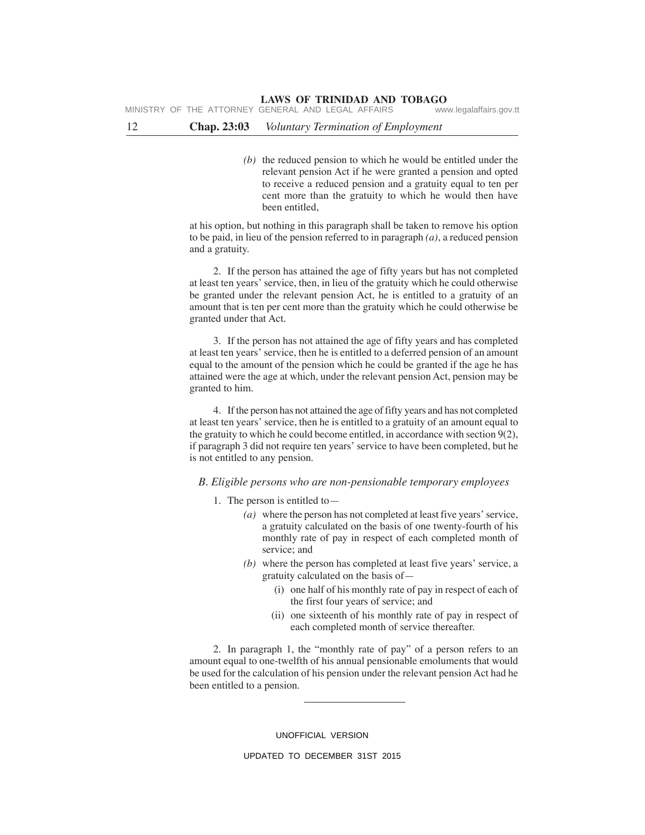## 12 **Chap. 23:03** *Voluntary Termination of Employment*

*(b)* the reduced pension to which he would be entitled under the relevant pension Act if he were granted a pension and opted to receive a reduced pension and a gratuity equal to ten per cent more than the gratuity to which he would then have been entitled,

at his option, but nothing in this paragraph shall be taken to remove his option to be paid, in lieu of the pension referred to in paragraph *(a)*, a reduced pension and a gratuity.

2. If the person has attained the age of fifty years but has not completed at least ten years' service, then, in lieu of the gratuity which he could otherwise be granted under the relevant pension Act, he is entitled to a gratuity of an amount that is ten per cent more than the gratuity which he could otherwise be granted under that Act.

3. If the person has not attained the age of fifty years and has completed at least ten years' service, then he is entitled to a deferred pension of an amount equal to the amount of the pension which he could be granted if the age he has attained were the age at which, under the relevant pension Act, pension may be granted to him.

4. If the person has not attained the age of fifty years and has not completed at least ten years' service, then he is entitled to a gratuity of an amount equal to the gratuity to which he could become entitled, in accordance with section 9(2), if paragraph 3 did not require ten years' service to have been completed, but he is not entitled to any pension.

#### *B. Eligible persons who are non-pensionable temporary employees*

- 1. The person is entitled to—
	- *(a)* where the person has not completed at least five years' service, a gratuity calculated on the basis of one twenty-fourth of his monthly rate of pay in respect of each completed month of service; and
	- *(b)* where the person has completed at least five years' service, a gratuity calculated on the basis of—
		- (i) one half of his monthly rate of pay in respect of each of the first four years of service; and
		- (ii) one sixteenth of his monthly rate of pay in respect of each completed month of service thereafter.

2. In paragraph 1, the "monthly rate of pay" of a person refers to an amount equal to one-twelfth of his annual pensionable emoluments that would be used for the calculation of his pension under the relevant pension Act had he been entitled to a pension.

UNOFFICIAL VERSION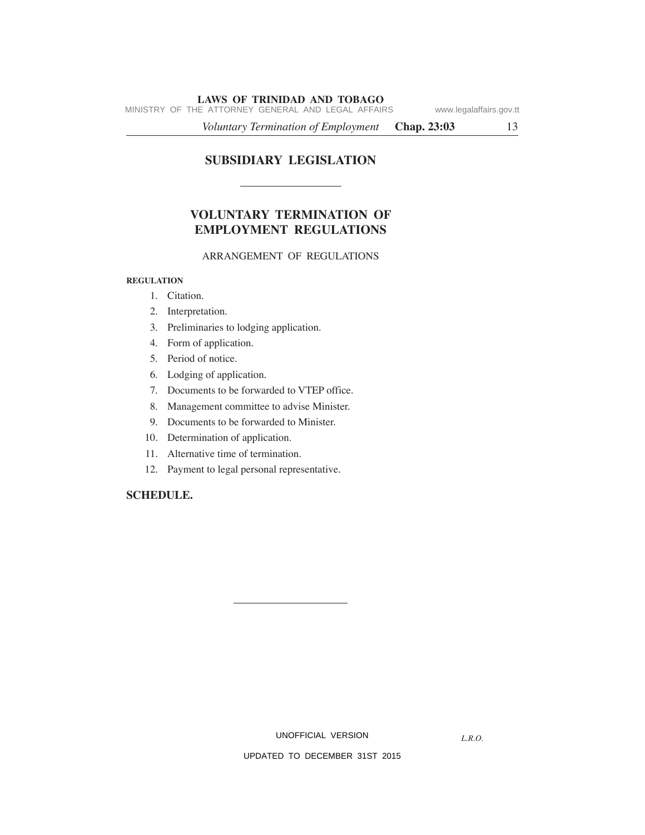MINISTRY OF THE ATTORNEY GENERAL AND LEGAL AFFAIRS www.legalaffairs.gov.tt

*Voluntary Termination of Employment* **Chap. 23:03** 13

# **SUBSIDIARY LEGISLATION**

# **VOLUNTARY TERMINATION OF EMPLOYMENT REGULATIONS**

# ARRANGEMENT OF REGULATIONS

#### **REGULATION**

- 1. Citation.
- 2. Interpretation.
- 3. Preliminaries to lodging application.
- 4. Form of application.
- 5. Period of notice.
- 6. Lodging of application.
- 7. Documents to be forwarded to VTEP office.
- 8. Management committee to advise Minister.
- 9. Documents to be forwarded to Minister.
- 10. Determination of application.
- 11. Alternative time of termination.
- 12. Payment to legal personal representative.

# **SCHEDULE.**

UNOFFICIAL VERSION

*L.R.O.*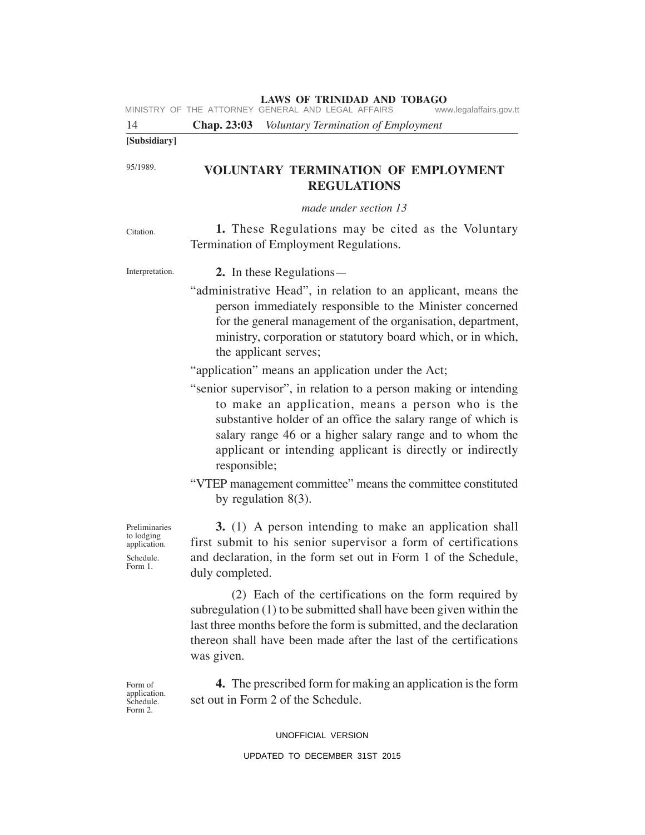|                                                                     | <b>LAWS OF TRINIDAD AND TOBAGO</b><br>MINISTRY OF THE ATTORNEY GENERAL AND LEGAL AFFAIRS<br>www.legalaffairs.gov.tt                                                                                                                                                                                                             |
|---------------------------------------------------------------------|---------------------------------------------------------------------------------------------------------------------------------------------------------------------------------------------------------------------------------------------------------------------------------------------------------------------------------|
| 14                                                                  | Chap. 23:03 Voluntary Termination of Employment                                                                                                                                                                                                                                                                                 |
| [Subsidiary]                                                        |                                                                                                                                                                                                                                                                                                                                 |
| 95/1989.                                                            | <b>VOLUNTARY TERMINATION OF EMPLOYMENT</b><br><b>REGULATIONS</b>                                                                                                                                                                                                                                                                |
|                                                                     | made under section 13                                                                                                                                                                                                                                                                                                           |
| Citation.                                                           | 1. These Regulations may be cited as the Voluntary<br>Termination of Employment Regulations.                                                                                                                                                                                                                                    |
| Interpretation.                                                     | 2. In these Regulations—                                                                                                                                                                                                                                                                                                        |
|                                                                     | "administrative Head", in relation to an applicant, means the<br>person immediately responsible to the Minister concerned<br>for the general management of the organisation, department,<br>ministry, corporation or statutory board which, or in which,<br>the applicant serves;                                               |
|                                                                     | "application" means an application under the Act;                                                                                                                                                                                                                                                                               |
|                                                                     | "senior supervisor", in relation to a person making or intending<br>to make an application, means a person who is the<br>substantive holder of an office the salary range of which is<br>salary range 46 or a higher salary range and to whom the<br>applicant or intending applicant is directly or indirectly<br>responsible; |
|                                                                     | "VTEP management committee" means the committee constituted<br>by regulation $8(3)$ .                                                                                                                                                                                                                                           |
| Preliminaries<br>to lodging<br>application.<br>Schedule.<br>Form 1. | 3. (1) A person intending to make an application shall<br>first submit to his senior supervisor a form of certifications<br>and declaration, in the form set out in Form 1 of the Schedule,<br>duly completed.                                                                                                                  |
|                                                                     | (2) Each of the certifications on the form required by<br>subregulation (1) to be submitted shall have been given within the<br>last three months before the form is submitted, and the declaration<br>thereon shall have been made after the last of the certifications<br>was given.                                          |
| Form of<br>application.<br>Schedule.<br>Form 2.                     | <b>4.</b> The prescribed form for making an application is the form<br>set out in Form 2 of the Schedule.                                                                                                                                                                                                                       |

UNOFFICIAL VERSION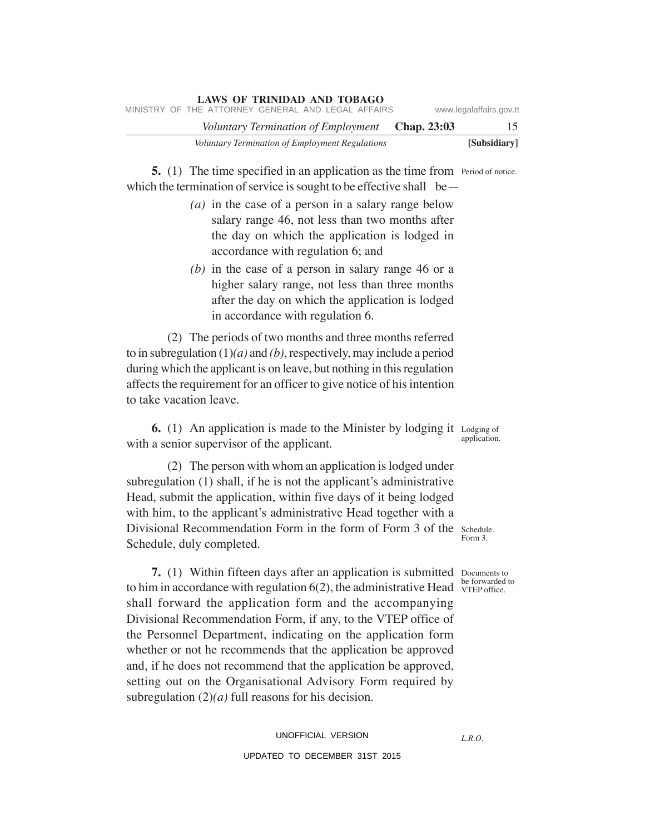|  | <b>LAWS OF TRINIDAD AND TOBAGO</b>                 |                    |                         |
|--|----------------------------------------------------|--------------------|-------------------------|
|  | MINISTRY OF THE ATTORNEY GENERAL AND LEGAL AFFAIRS |                    | www.legalaffairs.gov.tt |
|  | Voluntary Termination of Employment                | <b>Chap.</b> 23:03 | 15                      |
|  | Voluntary Termination of Employment Regulations    |                    | [Subsidiary]            |

**5.** (1) The time specified in an application as the time from Period of notice. which the termination of service is sought to be effective shall be—

- *(a)* in the case of a person in a salary range below salary range 46, not less than two months after the day on which the application is lodged in accordance with regulation 6; and
- *(b)* in the case of a person in salary range 46 or a higher salary range, not less than three months after the day on which the application is lodged in accordance with regulation 6.

(2) The periods of two months and three months referred to in subregulation (1)*(a)* and *(b)*, respectively, may include a period during which the applicant is on leave, but nothing in this regulation affects the requirement for an officer to give notice of his intention to take vacation leave.

**6.** (1) An application is made to the Minister by lodging it Lodging of with a senior supervisor of the applicant. application.

(2) The person with whom an application is lodged under subregulation (1) shall, if he is not the applicant's administrative Head, submit the application, within five days of it being lodged with him, to the applicant's administrative Head together with a Divisional Recommendation Form in the form of Form 3 of the Schedule. Schedule, duly completed.

VTEP office.

Form 3.

**7.** (1) Within fifteen days after an application is submitted Documents to to him in accordance with regulation  $6(2)$ , the administrative Head  $\frac{1}{\text{VTEP}}$  office. shall forward the application form and the accompanying Divisional Recommendation Form, if any, to the VTEP office of the Personnel Department, indicating on the application form whether or not he recommends that the application be approved and, if he does not recommend that the application be approved, setting out on the Organisational Advisory Form required by subregulation (2)*(a)* full reasons for his decision.

*L.R.O.*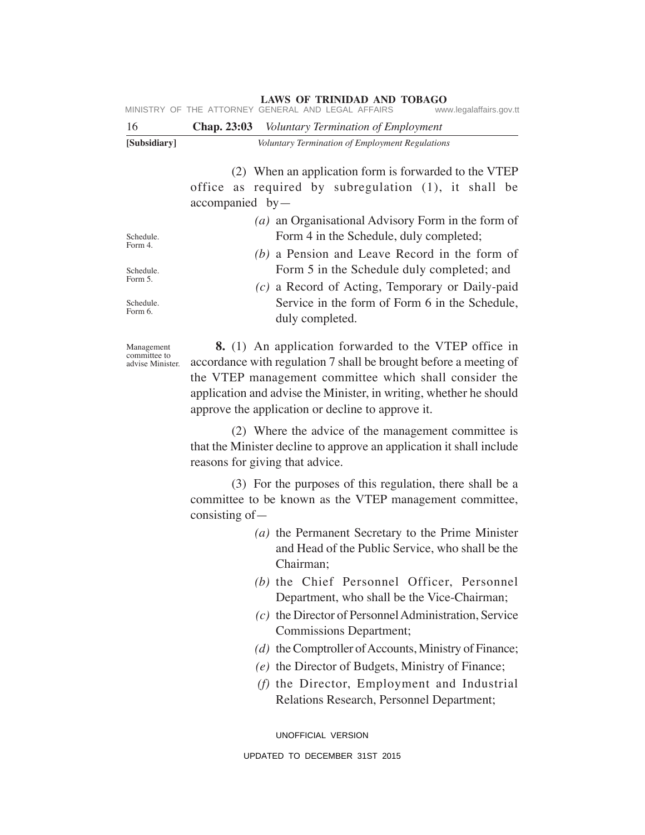| MINISTRY OF THE ATTORNEY GENERAL AND LEGAL AFFAIRS<br>www.legalaffairs.gov.tt |  |
|-------------------------------------------------------------------------------|--|
|-------------------------------------------------------------------------------|--|

| 16                   | <b>Chap. 23:03</b> Voluntary Termination of Employment                                                                              |  |  |
|----------------------|-------------------------------------------------------------------------------------------------------------------------------------|--|--|
| [Subsidiary]         | Voluntary Termination of Employment Regulations                                                                                     |  |  |
|                      | (2) When an application form is forwarded to the VTEP<br>office as required by subregulation (1), it shall be<br>$accompanied$ by — |  |  |
|                      | ( <i>a</i> ) an Organisational Advisory Form in the form of                                                                         |  |  |
| Schedule.<br>Form 4. | Form 4 in the Schedule, duly completed;<br>(b) a Pension and Leave Record in the form of                                            |  |  |
| Schedule.<br>Form 5. | Form 5 in the Schedule duly completed; and<br>— <u>1011 —</u>                                                                       |  |  |

*(c)* a Record of Acting, Temporary or Daily-paid Service in the form of Form 6 in the Schedule, duly completed.

Management committee to advise Minister.

Schedule. Form 6.

> **8.** (1) An application forwarded to the VTEP office in accordance with regulation 7 shall be brought before a meeting of the VTEP management committee which shall consider the application and advise the Minister, in writing, whether he should approve the application or decline to approve it.

> (2) Where the advice of the management committee is that the Minister decline to approve an application it shall include reasons for giving that advice.

> (3) For the purposes of this regulation, there shall be a committee to be known as the VTEP management committee, consisting of—

- *(a)* the Permanent Secretary to the Prime Minister and Head of the Public Service, who shall be the Chairman;
- *(b)* the Chief Personnel Officer, Personnel Department, who shall be the Vice-Chairman;
- *(c)* the Director of Personnel Administration, Service Commissions Department;
- *(d)* the Comptroller of Accounts, Ministry of Finance;
- *(e)* the Director of Budgets, Ministry of Finance;
- *(f)* the Director, Employment and Industrial Relations Research, Personnel Department;

UNOFFICIAL VERSION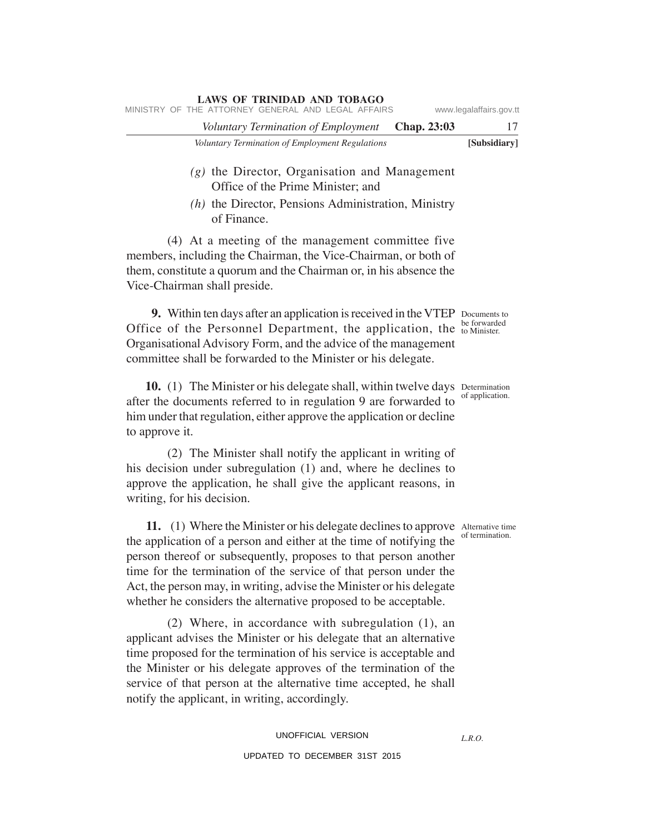|  | MINISTRY OF THE ATTORNEY GENERAL AND LEGAL AFFAIRS |                    | www.legalaffairs.gov.tt |
|--|----------------------------------------------------|--------------------|-------------------------|
|  | Voluntary Termination of Employment                | <b>Chap. 23:03</b> | 17                      |
|  | Voluntary Termination of Employment Regulations    |                    | [Subsidiary]            |

# *(g)* the Director, Organisation and Management Office of the Prime Minister; and

*(h)* the Director, Pensions Administration, Ministry of Finance.

(4) At a meeting of the management committee five members, including the Chairman, the Vice-Chairman, or both of them, constitute a quorum and the Chairman or, in his absence the Vice-Chairman shall preside.

**LAWS OF TRINIDAD AND TOBAGO**

**9.** Within ten days after an application is received in the VTEP Documents to Office of the Personnel Department, the application, the to Minister. Organisational Advisory Form, and the advice of the management committee shall be forwarded to the Minister or his delegate.

10. (1) The Minister or his delegate shall, within twelve days Determination after the documents referred to in regulation 9 are forwarded to him under that regulation, either approve the application or decline to approve it.

(2) The Minister shall notify the applicant in writing of his decision under subregulation (1) and, where he declines to approve the application, he shall give the applicant reasons, in writing, for his decision.

11. (1) Where the Minister or his delegate declines to approve Alternative time the application of a person and either at the time of notifying the person thereof or subsequently, proposes to that person another time for the termination of the service of that person under the Act, the person may, in writing, advise the Minister or his delegate whether he considers the alternative proposed to be acceptable. of termination.

(2) Where, in accordance with subregulation (1), an applicant advises the Minister or his delegate that an alternative time proposed for the termination of his service is acceptable and the Minister or his delegate approves of the termination of the service of that person at the alternative time accepted, he shall notify the applicant, in writing, accordingly.

*L.R.O.* 

be forwarded

# of application.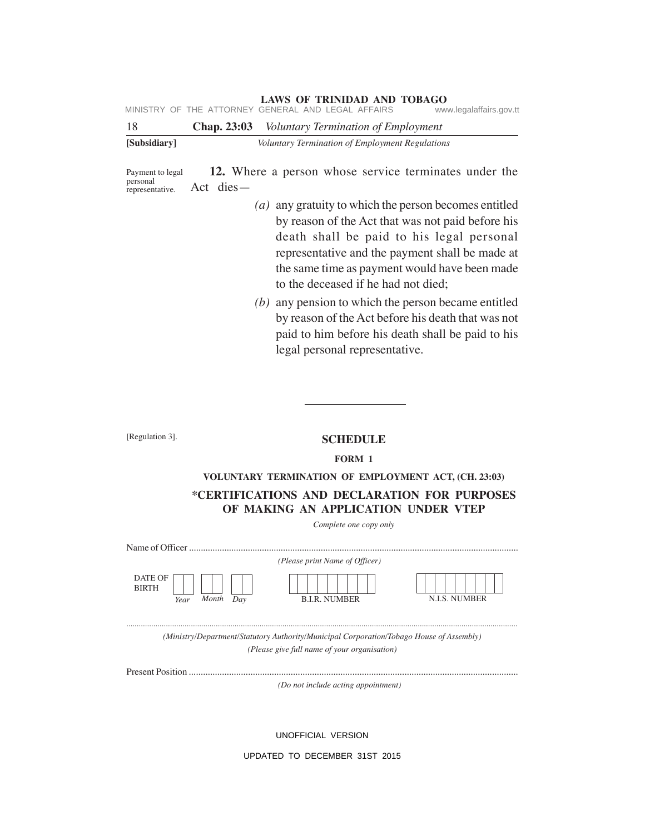**LAWS OF TRINIDAD AND TOBAGO**<br>GENERAL AND LEGAL AFFAIRS www.legalaffairs.gov.tt MINISTRY OF THE ATTORNEY GENERAL AND LEGAL AFFAIRS

| 18           | <b>Chap. 23:03</b> Voluntary Termination of Employment |
|--------------|--------------------------------------------------------|
| [Subsidiary] | Voluntary Termination of Employment Regulations        |

**12.** Where a person whose service terminates under the Act dies— Payment to legal personal representative.

- *(a)* any gratuity to which the person becomes entitled by reason of the Act that was not paid before his death shall be paid to his legal personal representative and the payment shall be made at the same time as payment would have been made to the deceased if he had not died;
- *(b)* any pension to which the person became entitled by reason of the Act before his death that was not paid to him before his death shall be paid to his legal personal representative.

[Regulation 3].

#### **SCHEDULE**

#### **FORM 1**

### **VOLUNTARY TERMINATION OF EMPLOYMENT ACT, (CH. 23:03)**

# **\*CERTIFICATIONS AND DECLARATION FOR PURPOSES OF MAKING AN APPLICATION UNDER VTEP**

*Complete one copy only*

| Name of Officer                                 |                                |               |
|-------------------------------------------------|--------------------------------|---------------|
|                                                 | (Please print Name of Officer) |               |
| DATE OF<br><b>BIRTH</b><br>Month<br>Dav<br>Year | <b>B.I.R. NUMBER</b>           | N.I.S. NUMBER |

*............................................................................................................................................................................................ (Ministry/Department/Statutory Authority/Municipal Corporation/Tobago House of Assembly) (Please give full name of your organisation)*

Present Position ...........................................................................................................................................

*(Do not include acting appointment)*

UNOFFICIAL VERSION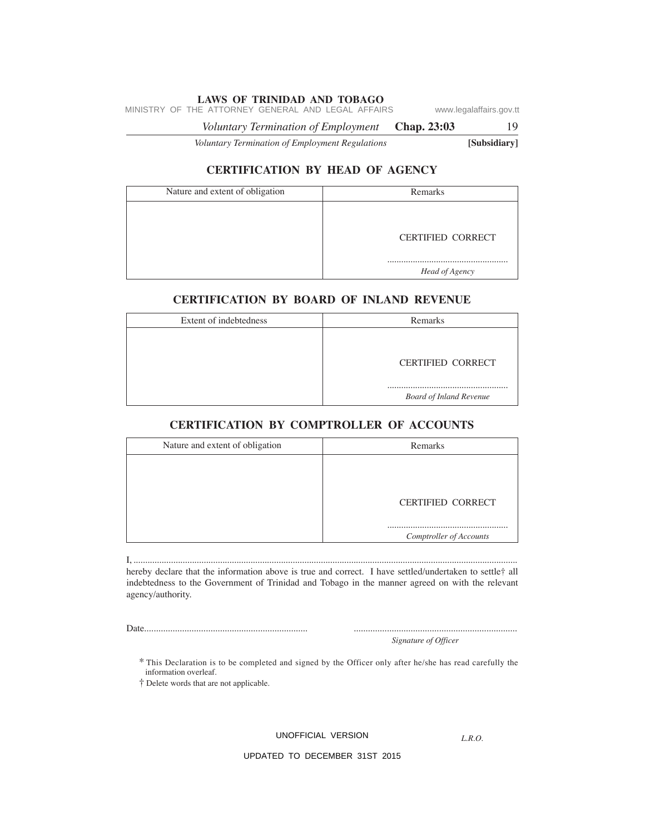MINISTRY OF THE ATTORNEY GENERAL AND LEGAL AFFAIRS www.legalaffairs.gov.tt

*Voluntary Termination of Employment* **Chap. 23:03** 19

*Voluntary Termination of Employment Regulations* **[Subsidiary]**

# **CERTIFICATION BY HEAD OF AGENCY**

| Nature and extent of obligation | Remarks                  |
|---------------------------------|--------------------------|
|                                 |                          |
|                                 | <b>CERTIFIED CORRECT</b> |
|                                 |                          |
|                                 | Head of Agency           |

# **CERTIFICATION BY BOARD OF INLAND REVENUE**

| Extent of indebtedness | Remarks                        |
|------------------------|--------------------------------|
|                        |                                |
|                        | <b>CERTIFIED CORRECT</b>       |
|                        | <b>Board of Inland Revenue</b> |

# **CERTIFICATION BY COMPTROLLER OF ACCOUNTS**

| Nature and extent of obligation | Remarks                  |
|---------------------------------|--------------------------|
|                                 |                          |
|                                 |                          |
|                                 | <b>CERTIFIED CORRECT</b> |
|                                 | Comptroller of Accounts  |

I, .................................................................................................................................................................... hereby declare that the information above is true and correct. I have settled/undertaken to settle† all indebtedness to the Government of Trinidad and Tobago in the manner agreed on with the relevant agency/authority.

Date..................................................................... .....................................................................

*Signature of Officer*

\* This Declaration is to be completed and signed by the Officer only after he/she has read carefully the information overleaf.

† Delete words that are not applicable.

UNOFFICIAL VERSION

*L.R.O.*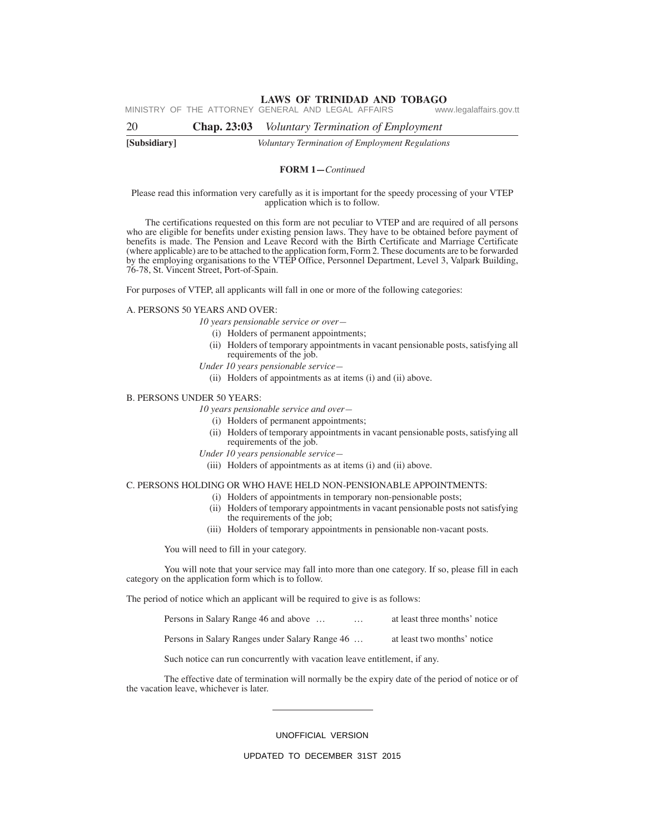**LAWS OF TRINIDAD AND TOBAGO**<br>GENERAL AND LEGAL AFFAIRS www.legalaffairs.gov.tt MINISTRY OF THE ATTORNEY GENERAL AND LEGAL AFFAIRS

**[Subsidiary]** *Voluntary Termination of Employment Regulations* 20 **Chap. 23:03** *Voluntary Termination of Employment*

#### **FORM 1—***Continued*

#### Please read this information very carefully as it is important for the speedy processing of your VTEP application which is to follow.

The certifications requested on this form are not peculiar to VTEP and are required of all persons who are eligible for benefits under existing pension laws. They have to be obtained before payment of benefits is made. The Pension and Leave Record with the Birth Certificate and Marriage Certificate (where applicable) are to be attached to the application form, Form 2. These documents are to be forwarded by the employing organisations to the VTEP Office, Personnel Department, Level 3, Valpark Building, 76-78, St. Vincent Street, Port-of-Spain.

For purposes of VTEP, all applicants will fall in one or more of the following categories:

#### A. PERSONS 50 YEARS AND OVER:

- *10 years pensionable service or over—*
	- (i) Holders of permanent appointments;
- (ii) Holders of temporary appointments in vacant pensionable posts, satisfying all requirements of the job.
- *Under 10 years pensionable service—*
	- (ii) Holders of appointments as at items (i) and (ii) above.

#### B. PERSONS UNDER 50 YEARS:

*10 years pensionable service and over—*

- (i) Holders of permanent appointments;
- (ii) Holders of temporary appointments in vacant pensionable posts, satisfying all requirements of the job.
- *Under 10 years pensionable service—*
- (iii) Holders of appointments as at items (i) and (ii) above.

#### C. PERSONS HOLDING OR WHO HAVE HELD NON-PENSIONABLE APPOINTMENTS:

- (i) Holders of appointments in temporary non-pensionable posts;
- (ii) Holders of temporary appointments in vacant pensionable posts not satisfying the requirements of the job;
- (iii) Holders of temporary appointments in pensionable non-vacant posts.

You will need to fill in your category.

You will note that your service may fall into more than one category. If so, please fill in each category on the application form which is to follow.

The period of notice which an applicant will be required to give is as follows:

| Persons in Salary Range 46 and above<br>$\cdots$ | at least three months' notice |
|--------------------------------------------------|-------------------------------|
| Persons in Salary Ranges under Salary Range 46   | at least two months' notice   |

Such notice can run concurrently with vacation leave entitlement, if any.

The effective date of termination will normally be the expiry date of the period of notice or of the vacation leave, whichever is later.

#### UNOFFICIAL VERSION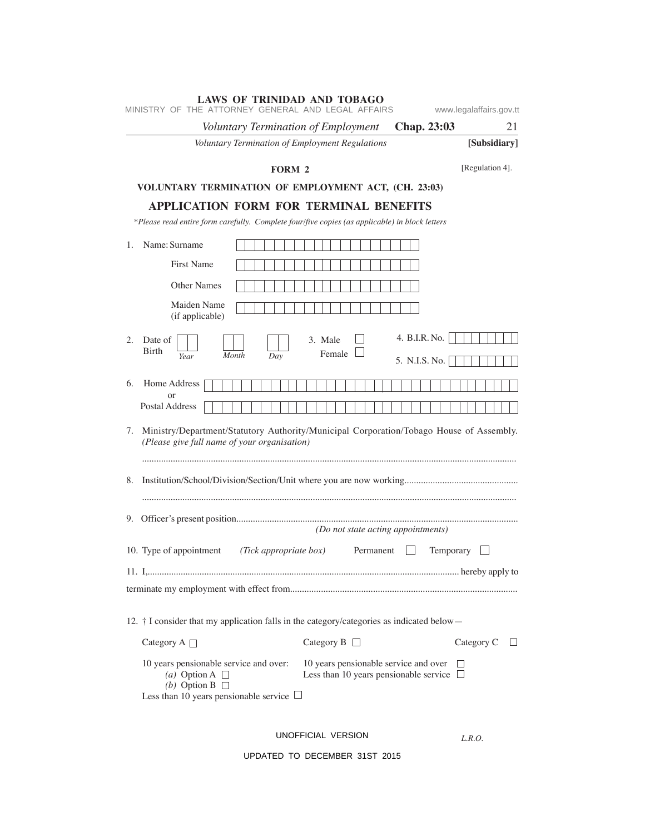|                                            | Voluntary Termination of Employment          |                                                                                                | <b>Chap. 23:03</b> | 21                |
|--------------------------------------------|----------------------------------------------|------------------------------------------------------------------------------------------------|--------------------|-------------------|
|                                            |                                              | Voluntary Termination of Employment Regulations                                                |                    | [Subsidiary]      |
|                                            | <b>FORM 2</b>                                |                                                                                                |                    | [Regulation 4].   |
|                                            |                                              | VOLUNTARY TERMINATION OF EMPLOYMENT ACT, (CH. 23:03)                                           |                    |                   |
|                                            |                                              | <b>APPLICATION FORM FOR TERMINAL BENEFITS</b>                                                  |                    |                   |
|                                            |                                              | *Please read entire form carefully. Complete four/five copies (as applicable) in block letters |                    |                   |
| Name: Surname<br>$1_{-}$                   |                                              |                                                                                                |                    |                   |
| <b>First Name</b>                          |                                              |                                                                                                |                    |                   |
| <b>Other Names</b>                         |                                              |                                                                                                |                    |                   |
| Maiden Name<br>(if applicable)             |                                              |                                                                                                |                    |                   |
| 2.<br>Date of                              |                                              | 3. Male                                                                                        | 4. B.I.R. No.      |                   |
| <b>Birth</b><br>Year                       | Month<br>Day                                 | Female                                                                                         | 5. N.I.S. No.      |                   |
| Home Address<br>6.                         |                                              |                                                                                                |                    |                   |
| or                                         |                                              |                                                                                                |                    |                   |
| Postal Address                             |                                              |                                                                                                |                    |                   |
| 7.                                         | (Please give full name of your organisation) | Ministry/Department/Statutory Authority/Municipal Corporation/Tobago House of Assembly.        |                    |                   |
| 8.                                         |                                              |                                                                                                |                    |                   |
|                                            |                                              |                                                                                                |                    |                   |
| 9.                                         |                                              |                                                                                                |                    |                   |
|                                            |                                              | (Do not state acting appointments)                                                             |                    |                   |
| 10. Type of appointment                    | (Tick appropriate box)                       | Permanent                                                                                      | Temporary          |                   |
|                                            |                                              |                                                                                                |                    |                   |
|                                            |                                              |                                                                                                |                    |                   |
|                                            |                                              | 12. † I consider that my application falls in the category/categories as indicated below-      |                    |                   |
| Category A $\Box$                          |                                              | Category B $\Box$                                                                              |                    | Category $C \Box$ |
| (a) Option A $\Box$<br>(b) Option B $\Box$ | 10 years pensionable service and over:       | 10 years pensionable service and over $\Box$<br>Less than 10 years pensionable service $\Box$  |                    |                   |

UNOFFICIAL VERSION

*L.R.O.*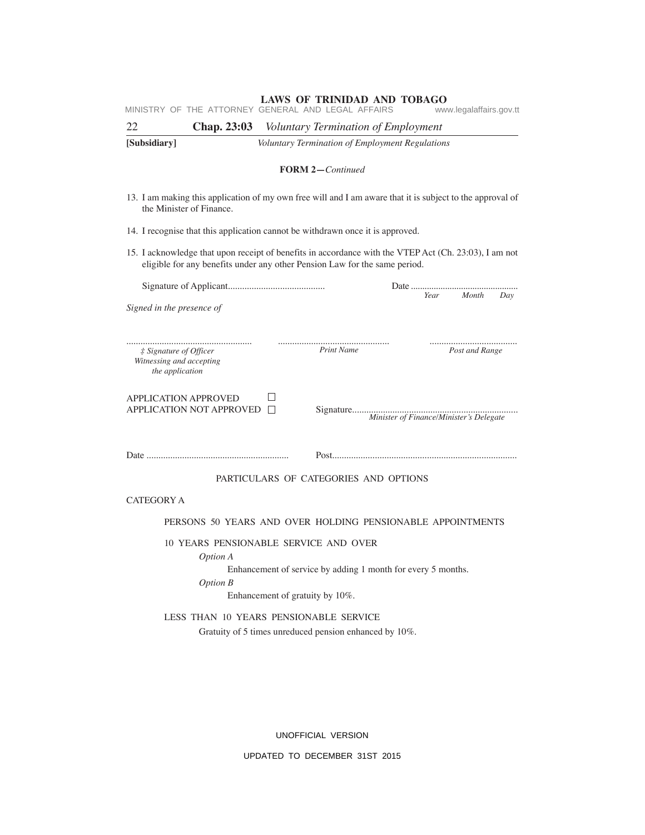|                                                                       | <b>LAWS OF TRINIDAD AND TOBAGO</b><br>MINISTRY OF THE ATTORNEY GENERAL AND LEGAL AFFAIRS                                                                                            | www.legalaffairs.gov.tt |
|-----------------------------------------------------------------------|-------------------------------------------------------------------------------------------------------------------------------------------------------------------------------------|-------------------------|
| 22<br><b>Chap. 23:03</b>                                              | <i>Voluntary Termination of Employment</i>                                                                                                                                          |                         |
| [Subsidiary]                                                          | Voluntary Termination of Employment Regulations                                                                                                                                     |                         |
|                                                                       | <b>FORM 2-Continued</b>                                                                                                                                                             |                         |
| the Minister of Finance.                                              | 13. I am making this application of my own free will and I am aware that it is subject to the approval of                                                                           |                         |
|                                                                       | 14. I recognise that this application cannot be withdrawn once it is approved.                                                                                                      |                         |
|                                                                       | 15. I acknowledge that upon receipt of benefits in accordance with the VTEP Act (Ch. 23:03), I am not<br>eligible for any benefits under any other Pension Law for the same period. |                         |
| Signed in the presence of                                             |                                                                                                                                                                                     | Month<br>Year<br>Day    |
|                                                                       |                                                                                                                                                                                     |                         |
| # Signature of Officer<br>Witnessing and accepting<br>the application | Print Name                                                                                                                                                                          | Post and Range          |
| <b>APPLICATION APPROVED</b><br>APPLICATION NOT APPROVED □             |                                                                                                                                                                                     |                         |
|                                                                       |                                                                                                                                                                                     |                         |
|                                                                       | PARTICULARS OF CATEGORIES AND OPTIONS                                                                                                                                               |                         |
| <b>CATEGORY A</b>                                                     |                                                                                                                                                                                     |                         |
|                                                                       | PERSONS 50 YEARS AND OVER HOLDING PENSIONABLE APPOINTMENTS                                                                                                                          |                         |
| Option A<br><b>Option B</b>                                           | 10 YEARS PENSIONABLE SERVICE AND OVER<br>Enhancement of service by adding 1 month for every 5 months.<br>Enhancement of gratuity by 10%.                                            |                         |
|                                                                       | LESS THAN 10 YEARS PENSIONABLE SERVICE<br>Gratuity of 5 times unreduced pension enhanced by 10%.                                                                                    |                         |

UNOFFICIAL VERSION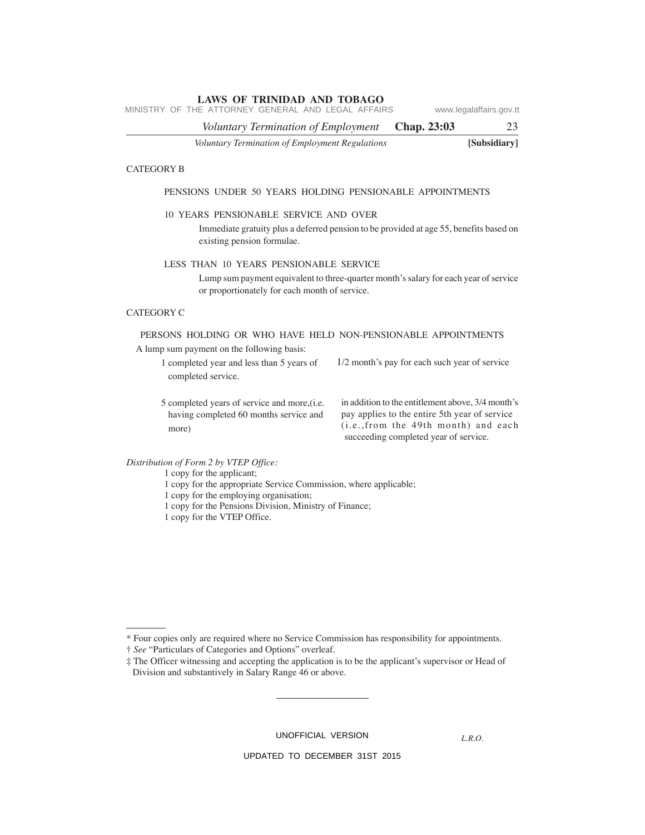*Voluntary Termination of Employment* **Chap. 23:03** 23 MINISTRY OF THE ATTORNEY GENERAL AND LEGAL AFFAIRS www.legalaffairs.gov.tt

*Voluntary Termination of Employment Regulations* **[Subsidiary]**

#### CATEGORY B

#### PENSIONS UNDER 50 YEARS HOLDING PENSIONABLE APPOINTMENTS

#### 10 YEARS PENSIONABLE SERVICE AND OVER

Immediate gratuity plus a deferred pension to be provided at age 55, benefits based on existing pension formulae.

#### LESS THAN 10 YEARS PENSIONABLE SERVICE

Lump sum payment equivalent to three-quarter month's salary for each year of service or proportionately for each month of service.

### CATEGORY C

# PERSONS HOLDING OR WHO HAVE HELD NON-PENSIONABLE APPOINTMENTS

A lump sum payment on the following basis:

1 completed year and less than 5 years of completed service. 1/2 month's pay for each such year of service

5 completed years of service and more,(i.e. having completed 60 months service and more)

in addition to the entitlement above, 3/4 month's pay applies to the entire 5th year of service (i.e.,from the 49th month) and each succeeding completed year of service.

*Distribution of Form 2 by VTEP Office:*

1 copy for the applicant;

- 1 copy for the appropriate Service Commission, where applicable;
- 1 copy for the employing organisation;
- 1 copy for the Pensions Division, Ministry of Finance;
- 1 copy for the VTEP Office.

UNOFFICIAL VERSION

*L.R.O.*

<sup>\*</sup> Four copies only are required where no Service Commission has responsibility for appointments.

<sup>†</sup> *See* "Particulars of Categories and Options" overleaf.

<sup>‡</sup> The Officer witnessing and accepting the application is to be the applicant's supervisor or Head of Division and substantively in Salary Range 46 or above.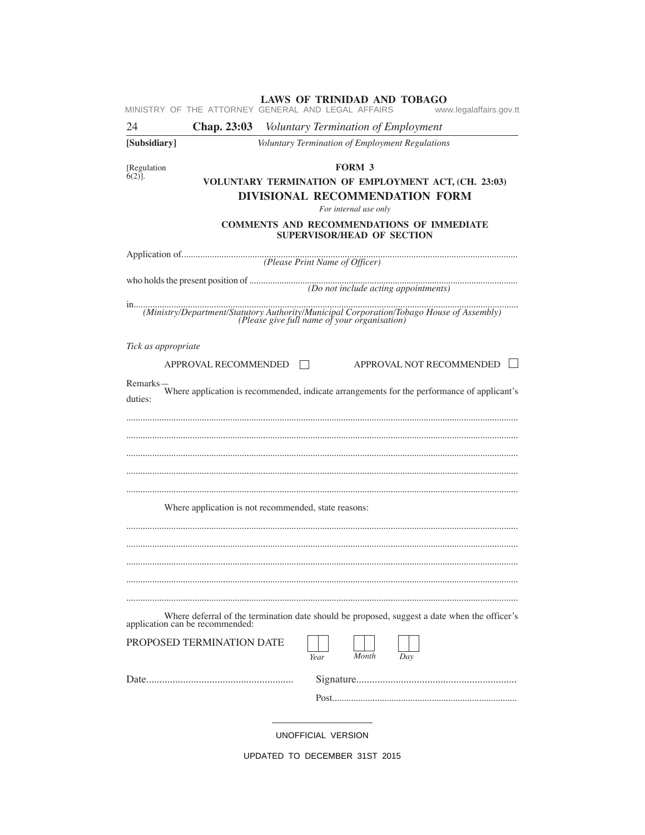|                          |                           | LAWS OF TRINIDAD AND TOBAGO<br>MINISTRY OF THE ATTORNEY GENERAL AND LEGAL AFFAIRS                                            | www.legalaffairs.gov.tt  |
|--------------------------|---------------------------|------------------------------------------------------------------------------------------------------------------------------|--------------------------|
| 24                       |                           | Chap. 23:03 Voluntary Termination of Employment                                                                              |                          |
| [Subsidiary]             |                           | Voluntary Termination of Employment Regulations                                                                              |                          |
| [Regulation<br>$6(2)$ ]. |                           | FORM 3<br>VOLUNTARY TERMINATION OF EMPLOYMENT ACT, (CH. 23:03)<br>DIVISIONAL RECOMMENDATION FORM<br>For internal use only    |                          |
|                          |                           | <b>COMMENTS AND RECOMMENDATIONS OF IMMEDIATE</b><br><b>SUPERVISOR/HEAD OF SECTION</b>                                        |                          |
|                          |                           |                                                                                                                              |                          |
|                          |                           | who holds the present position of $(Do not include acting\ appointments)$                                                    |                          |
|                          |                           |                                                                                                                              |                          |
| Tick as appropriate      |                           |                                                                                                                              |                          |
|                          | APPROVAL RECOMMENDED      |                                                                                                                              | APPROVAL NOT RECOMMENDED |
| Remarks-<br>duties:      |                           | Where application is recommended, indicate arrangements for the performance of applicant's                                   |                          |
|                          |                           |                                                                                                                              |                          |
|                          |                           |                                                                                                                              |                          |
|                          |                           |                                                                                                                              |                          |
|                          |                           | Where application is not recommended, state reasons:                                                                         |                          |
|                          |                           |                                                                                                                              |                          |
|                          |                           |                                                                                                                              |                          |
|                          |                           |                                                                                                                              |                          |
|                          |                           |                                                                                                                              |                          |
|                          |                           | Where deferral of the termination date should be proposed, suggest a date when the officer's application can be recommended: |                          |
|                          | PROPOSED TERMINATION DATE | Month<br>Year                                                                                                                | Day                      |
|                          |                           |                                                                                                                              |                          |
|                          |                           |                                                                                                                              |                          |
|                          |                           | UNOFFICIAL VERSION                                                                                                           |                          |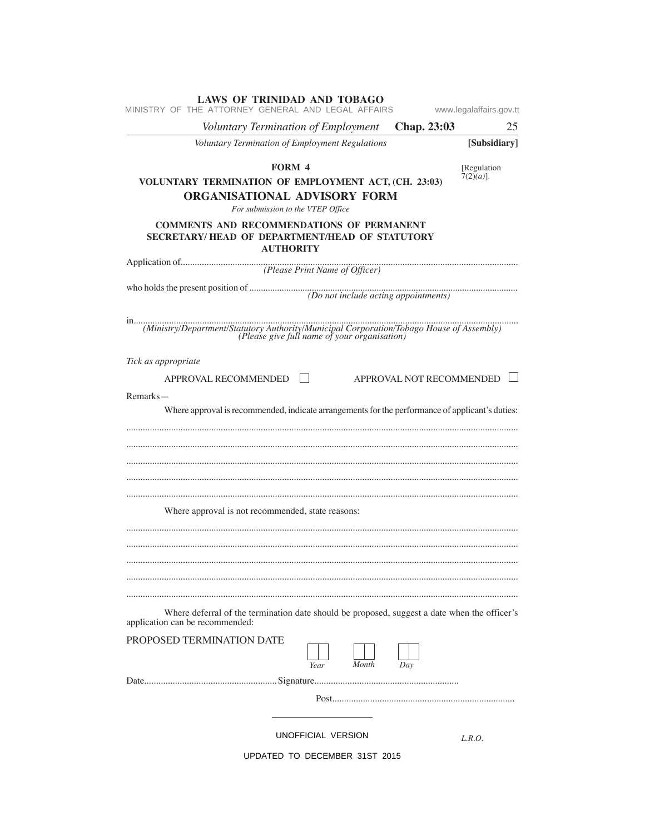| <b>LAWS OF TRINIDAD AND TOBAGO</b><br>MINISTRY OF THE ATTORNEY GENERAL AND LEGAL AFFAIRS                                                                                               | www.legalaffairs.gov.tt     |
|----------------------------------------------------------------------------------------------------------------------------------------------------------------------------------------|-----------------------------|
| Voluntary Termination of Employment<br>Chap. 23:03                                                                                                                                     | 25                          |
| Voluntary Termination of Employment Regulations                                                                                                                                        | [Subsidiary]                |
| <b>FORM 4</b><br>VOLUNTARY TERMINATION OF EMPLOYMENT ACT, (CH. 23:03)<br>ORGANISATIONAL ADVISORY FORM<br>For submission to the VTEP Office                                             | [Regulation<br>$7(2)(a)$ ]. |
| <b>COMMENTS AND RECOMMENDATIONS OF PERMANENT</b><br>SECRETARY/HEAD OF DEPARTMENT/HEAD OF STATUTORY<br><b>AUTHORITY</b>                                                                 |                             |
|                                                                                                                                                                                        |                             |
| who holds the present position of $(Do not include acting\ a population)$                                                                                                              |                             |
| in<br>(Ministry/Department/Statutory Authority/Municipal Corporation/Tobago House of Assembly)<br>(Please give full name of your organisation)                                         |                             |
| Tick as appropriate<br>APPROVAL NOT RECOMMENDED<br>APPROVAL RECOMMENDED<br>Remarks-<br>Where approval is recommended, indicate arrangements for the performance of applicant's duties: |                             |
| Where approval is not recommended, state reasons:                                                                                                                                      |                             |
| Where deferral of the termination date should be proposed, suggest a date when the officer's<br>application can be recommended:<br>PROPOSED TERMINATION DATE<br>Month<br>Day<br>Year   |                             |
|                                                                                                                                                                                        |                             |
|                                                                                                                                                                                        |                             |
| UNOFFICIAL VERSION                                                                                                                                                                     | L.R.O.                      |
| UPDATED TO DECEMBER 31ST 2015                                                                                                                                                          |                             |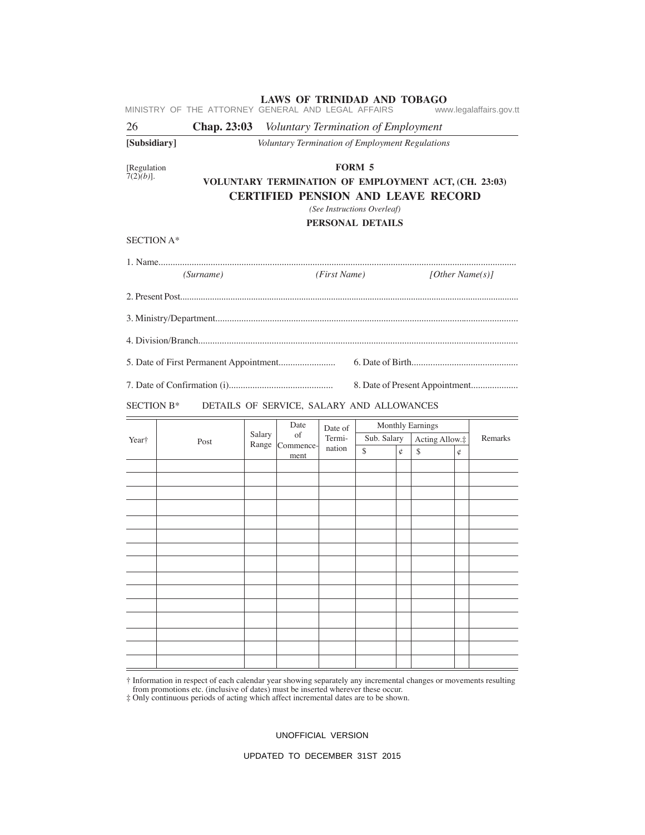|                             | MINISTRY OF THE ATTORNEY GENERAL AND LEGAL AFFAIRS     |                 | <b>LAWS OF TRINIDAD AND TOBAGO</b>                                                                |                  |                                                                  |   |                         |                     | www.legalaffairs.gov.tt        |
|-----------------------------|--------------------------------------------------------|-----------------|---------------------------------------------------------------------------------------------------|------------------|------------------------------------------------------------------|---|-------------------------|---------------------|--------------------------------|
| 26                          | <b>Chap. 23:03</b> Voluntary Termination of Employment |                 |                                                                                                   |                  |                                                                  |   |                         |                     |                                |
| [Subsidiary]                |                                                        |                 | Voluntary Termination of Employment Regulations                                                   |                  |                                                                  |   |                         |                     |                                |
| [Regulation<br>$7(2)(b)$ ]. |                                                        |                 | VOLUNTARY TERMINATION OF EMPLOYMENT ACT, (CH. 23:03)<br><b>CERTIFIED PENSION AND LEAVE RECORD</b> |                  | <b>FORM 5</b><br>(See Instructions Overleaf)<br>PERSONAL DETAILS |   |                         |                     |                                |
| SECTION A*                  |                                                        |                 |                                                                                                   |                  |                                                                  |   |                         |                     |                                |
|                             | (Surname)                                              |                 |                                                                                                   | (First Name)     |                                                                  |   |                         | [ $Other Name(s)$ ] |                                |
|                             |                                                        |                 |                                                                                                   |                  |                                                                  |   |                         |                     |                                |
|                             |                                                        |                 |                                                                                                   |                  |                                                                  |   |                         |                     |                                |
|                             |                                                        |                 |                                                                                                   |                  |                                                                  |   |                         |                     |                                |
|                             |                                                        |                 |                                                                                                   |                  |                                                                  |   |                         |                     |                                |
|                             |                                                        |                 |                                                                                                   |                  |                                                                  |   |                         |                     | 8. Date of Present Appointment |
| <b>SECTION B*</b>           |                                                        |                 | DETAILS OF SERVICE, SALARY AND ALLOWANCES                                                         |                  |                                                                  |   |                         |                     |                                |
|                             |                                                        |                 | Date                                                                                              | Date of          |                                                                  |   | <b>Monthly Earnings</b> |                     |                                |
| Year†                       | Post                                                   | Salary<br>Range | of<br>Commence-                                                                                   | Termi-<br>nation | Sub. Salary                                                      |   | Acting Allow.‡          |                     | Remarks                        |
|                             |                                                        |                 | ment                                                                                              |                  | $\mathcal{S}$                                                    | ¢ | \$                      | ¢                   |                                |
|                             |                                                        |                 |                                                                                                   |                  |                                                                  |   |                         |                     |                                |
|                             |                                                        |                 |                                                                                                   |                  |                                                                  |   |                         |                     |                                |
|                             |                                                        |                 |                                                                                                   |                  |                                                                  |   |                         |                     |                                |
|                             |                                                        |                 |                                                                                                   |                  |                                                                  |   |                         |                     |                                |
|                             |                                                        |                 |                                                                                                   |                  |                                                                  |   |                         |                     |                                |
|                             |                                                        |                 |                                                                                                   |                  |                                                                  |   |                         |                     |                                |
|                             |                                                        |                 |                                                                                                   |                  |                                                                  |   |                         |                     |                                |
|                             |                                                        |                 |                                                                                                   |                  |                                                                  |   |                         |                     |                                |
|                             |                                                        |                 |                                                                                                   |                  |                                                                  |   |                         |                     |                                |
|                             |                                                        |                 |                                                                                                   |                  |                                                                  |   |                         |                     |                                |
|                             |                                                        |                 |                                                                                                   |                  |                                                                  |   |                         |                     |                                |
|                             |                                                        |                 |                                                                                                   |                  |                                                                  |   |                         |                     |                                |
|                             |                                                        |                 |                                                                                                   |                  |                                                                  |   |                         |                     |                                |

† Information in respect of each calendar year showing separately any incremental changes or movements resulting

from promotions etc. (inclusive of dates) must be inserted wherever these occur. ‡ Only continuous periods of acting which affect incremental dates are to be shown.

UNOFFICIAL VERSION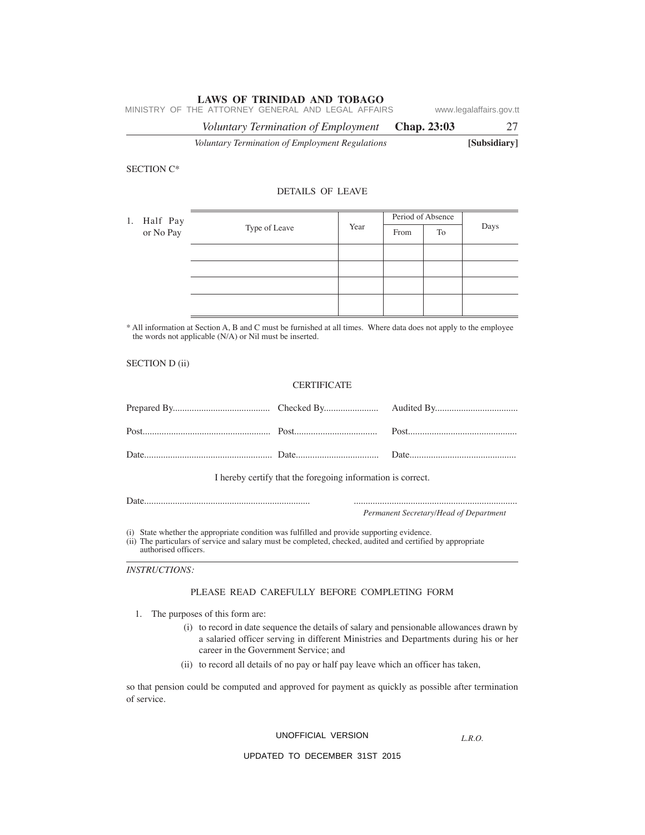*Voluntary Termination of Employment* **Chap. 23:03** 27 MINISTRY OF THE ATTORNEY GENERAL AND LEGAL AFFAIRS www.legalaffairs.gov.tt

*Voluntary Termination of Employment Regulations* **[Subsidiary]**

#### SECTION C\*

#### DETAILS OF LEAVE

| 1. Half Pay |           |               |      | Period of Absence |    |      |  |
|-------------|-----------|---------------|------|-------------------|----|------|--|
|             | or No Pay | Type of Leave | Year | From              | To | Days |  |
|             |           |               |      |                   |    |      |  |
|             |           |               |      |                   |    |      |  |
|             |           |               |      |                   |    |      |  |
|             |           |               |      |                   |    |      |  |

\* All information at Section A, B and C must be furnished at all times. Where data does not apply to the employee the words not applicable (N/A) or Nil must be inserted.

SECTION D (ii)

# **CERTIFICATE**

| I hereby certify that the foregoing information is correct. |                                        |
|-------------------------------------------------------------|----------------------------------------|
|                                                             |                                        |
|                                                             | Permanent Secretary/Head of Department |

(i) State whether the appropriate condition was fulfilled and provide supporting evidence.

(ii) The particulars of service and salary must be completed, checked, audited and certified by appropriate authorised officers.

*INSTRUCTIONS:*

#### PLEASE READ CAREFULLY BEFORE COMPLETING FORM

- 1. The purposes of this form are:
	- (i) to record in date sequence the details of salary and pensionable allowances drawn by a salaried officer serving in different Ministries and Departments during his or her career in the Government Service; and
	- (ii) to record all details of no pay or half pay leave which an officer has taken,

so that pension could be computed and approved for payment as quickly as possible after termination of service.

## UNOFFICIAL VERSION

*L.R.O.*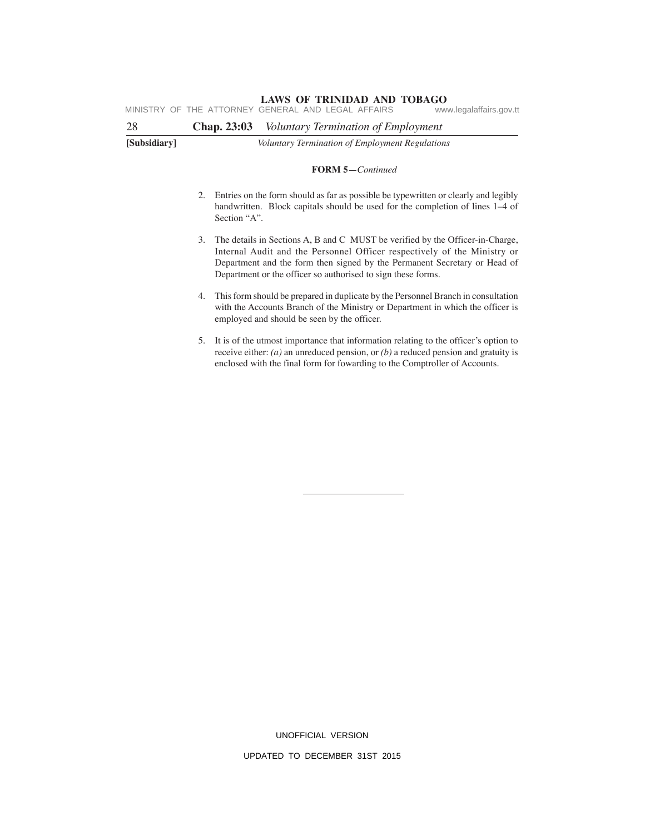**LAWS OF TRINIDAD AND TOBAGO**<br>GENERAL AND LEGAL AFFAIRS www.legalaffairs.gov.tt MINISTRY OF THE ATTORNEY GENERAL AND LEGAL AFFAIRS

| 28           | Voluntary Termination of Employment<br><b>Chap. 23:03</b>                                                                                                                                  |
|--------------|--------------------------------------------------------------------------------------------------------------------------------------------------------------------------------------------|
| [Subsidiary] | Voluntary Termination of Employment Regulations                                                                                                                                            |
|              | <b>FORM 5-Continued</b>                                                                                                                                                                    |
|              | Entries on the form should as far as possible be typewritten or clearly and legibly<br>2.<br>handwritten. Block capitals should be used for the completion of lines 1–4 of<br>Section "A". |

- 3. The details in Sections A, B and C MUST be verified by the Officer-in-Charge, Internal Audit and the Personnel Officer respectively of the Ministry or Department and the form then signed by the Permanent Secretary or Head of Department or the officer so authorised to sign these forms.
- 4. This form should be prepared in duplicate by the Personnel Branch in consultation with the Accounts Branch of the Ministry or Department in which the officer is employed and should be seen by the officer.
- 5. It is of the utmost importance that information relating to the officer's option to receive either: *(a)* an unreduced pension, or *(b)* a reduced pension and gratuity is enclosed with the final form for fowarding to the Comptroller of Accounts.

UNOFFICIAL VERSION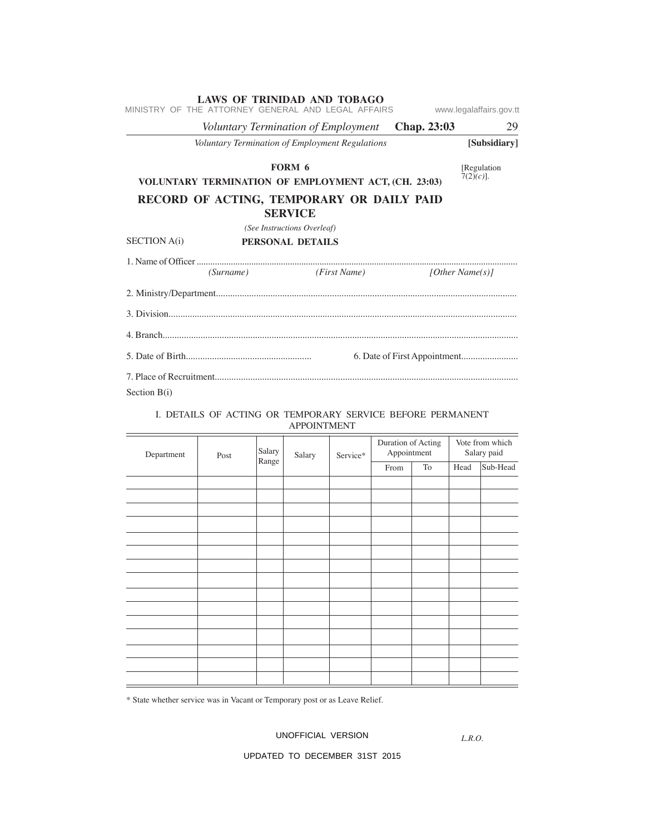| MINISTRY OF THE ATTORNEY GENERAL AND LEGAL AFFAIRS   | LAWS OF TRINIDAD AND TOBAGO                     | www.legalaffairs.gov.tt    |
|------------------------------------------------------|-------------------------------------------------|----------------------------|
|                                                      | Voluntary Termination of Employment Chap. 23:03 | 29                         |
|                                                      | Voluntary Termination of Employment Regulations | [Subsidiary]               |
| VOLUNTARY TERMINATION OF EMPLOYMENT ACT, (CH. 23:03) | FORM 6                                          | Regulation<br>$7(2)(c)$ ]. |
| RECORD OF ACTING, TEMPORARY OR DAILY PAID            | <b>SERVICE</b>                                  |                            |
|                                                      | (See Instructions Overleaf)                     |                            |
| <b>SECTION</b> A(i)                                  | PERSONAL DETAILS                                |                            |
|                                                      | (Surname) (First Name)                          | [Other Name(s)]            |
|                                                      |                                                 |                            |
|                                                      |                                                 |                            |
|                                                      |                                                 |                            |
|                                                      |                                                 |                            |
| Section $B(i)$                                       |                                                 |                            |

### I. DETAILS OF ACTING OR TEMPORARY SERVICE BEFORE PERMANENT APPOINTMENT

| Department | Post | Salary | Salary | Service* | Duration of Acting<br>Appointment |    | Vote from which<br>Salary paid |          |
|------------|------|--------|--------|----------|-----------------------------------|----|--------------------------------|----------|
|            |      | Range  |        |          | From                              | To | Head                           | Sub-Head |
|            |      |        |        |          |                                   |    |                                |          |
|            |      |        |        |          |                                   |    |                                |          |
|            |      |        |        |          |                                   |    |                                |          |
|            |      |        |        |          |                                   |    |                                |          |
|            |      |        |        |          |                                   |    |                                |          |
|            |      |        |        |          |                                   |    |                                |          |
|            |      |        |        |          |                                   |    |                                |          |
|            |      |        |        |          |                                   |    |                                |          |
|            |      |        |        |          |                                   |    |                                |          |
|            |      |        |        |          |                                   |    |                                |          |
|            |      |        |        |          |                                   |    |                                |          |
|            |      |        |        |          |                                   |    |                                |          |
|            |      |        |        |          |                                   |    |                                |          |
|            |      |        |        |          |                                   |    |                                |          |
|            |      |        |        |          |                                   |    |                                |          |

\* State whether service was in Vacant or Temporary post or as Leave Relief.

## UNOFFICIAL VERSION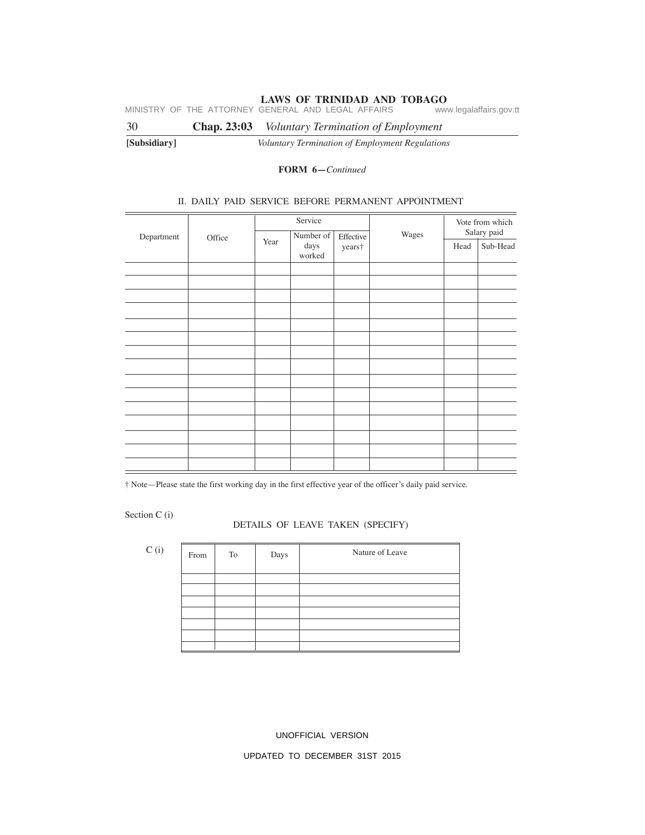MINISTRY OF THE ATTORNEY GENERAL AND LEGAL AFFAIRS www.legalaffairs.gov.tt

30 **Chap. 23:03** *Voluntary Termination of Employment*

**[Subsidiary]** *Voluntary Termination of Employment Regulations*

# **FORM 6—***Continued*

#### II. DAILY PAID SERVICE BEFORE PERMANENT APPOINTMENT

| Department | Office | Service |                             |                     |       | Vote from which<br>Salary paid |          |
|------------|--------|---------|-----------------------------|---------------------|-------|--------------------------------|----------|
|            |        | Year    | Number of<br>days<br>worked | Effective<br>years† | Wages | Head                           | Sub-Head |
|            |        |         |                             |                     |       |                                |          |
|            |        |         |                             |                     |       |                                |          |
|            |        |         |                             |                     |       |                                |          |
|            |        |         |                             |                     |       |                                |          |
|            |        |         |                             |                     |       |                                |          |
|            |        |         |                             |                     |       |                                |          |
|            |        |         |                             |                     |       |                                |          |
|            |        |         |                             |                     |       |                                |          |
|            |        |         |                             |                     |       |                                |          |
|            |        |         |                             |                     |       |                                |          |
|            |        |         |                             |                     |       |                                |          |
|            |        |         |                             |                     |       |                                |          |
|            |        |         |                             |                     |       |                                |          |
|            |        |         |                             |                     |       |                                |          |
|            |        |         |                             |                     |       |                                |          |

† Note—Please state the first working day in the first effective year of the officer's daily paid service.

Section C (i)

#### DETAILS OF LEAVE TAKEN (SPECIFY)

| C(i) | From | To | Days | Nature of Leave |
|------|------|----|------|-----------------|
|      |      |    |      |                 |
|      |      |    |      |                 |
|      |      |    |      |                 |
|      |      |    |      |                 |
|      |      |    |      |                 |
|      |      |    |      |                 |
|      |      |    |      |                 |

UNOFFICIAL VERSION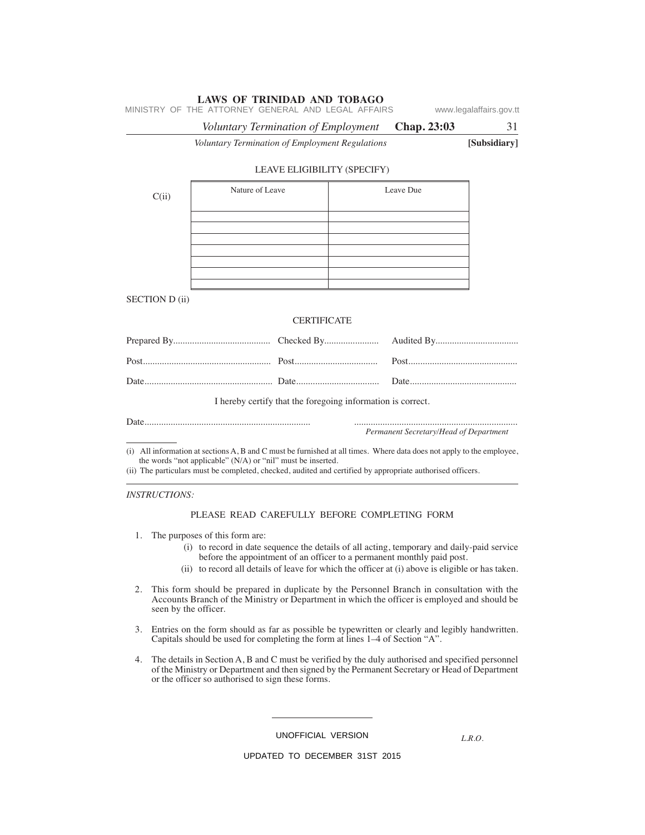|                       | Voluntary Termination of Employment                                                                                                                                                                                                                                                                                                                                                                                   | Chap. 23:03                            | 31           |
|-----------------------|-----------------------------------------------------------------------------------------------------------------------------------------------------------------------------------------------------------------------------------------------------------------------------------------------------------------------------------------------------------------------------------------------------------------------|----------------------------------------|--------------|
|                       | Voluntary Termination of Employment Regulations                                                                                                                                                                                                                                                                                                                                                                       |                                        | [Subsidiary] |
|                       | LEAVE ELIGIBILITY (SPECIFY)                                                                                                                                                                                                                                                                                                                                                                                           |                                        |              |
| C(ii)                 | Nature of Leave                                                                                                                                                                                                                                                                                                                                                                                                       | Leave Due                              |              |
|                       |                                                                                                                                                                                                                                                                                                                                                                                                                       |                                        |              |
|                       |                                                                                                                                                                                                                                                                                                                                                                                                                       |                                        |              |
| <b>SECTION D (ii)</b> |                                                                                                                                                                                                                                                                                                                                                                                                                       |                                        |              |
|                       | <b>CERTIFICATE</b>                                                                                                                                                                                                                                                                                                                                                                                                    |                                        |              |
|                       |                                                                                                                                                                                                                                                                                                                                                                                                                       |                                        |              |
|                       |                                                                                                                                                                                                                                                                                                                                                                                                                       |                                        |              |
|                       |                                                                                                                                                                                                                                                                                                                                                                                                                       |                                        |              |
|                       | I hereby certify that the foregoing information is correct.                                                                                                                                                                                                                                                                                                                                                           |                                        |              |
|                       |                                                                                                                                                                                                                                                                                                                                                                                                                       | Permanent Secretary/Head of Department |              |
|                       | (i) All information at sections A, B and C must be furnished at all times. Where data does not apply to the employee,<br>the words "not applicable" (N/A) or "nil" must be inserted.<br>and the second contract of the second contract of the second contract of the second contract of the second contract of the second contract of the second contract of the second contract of the second contract of the second |                                        |              |

(ii) The particulars must be completed, checked, audited and certified by appropriate authorised officers.

*INSTRUCTIONS:*

#### PLEASE READ CAREFULLY BEFORE COMPLETING FORM

- 1. The purposes of this form are:
	- (i) to record in date sequence the details of all acting, temporary and daily-paid service before the appointment of an officer to a permanent monthly paid post.
	- (ii) to record all details of leave for which the officer at (i) above is eligible or has taken.
- 2. This form should be prepared in duplicate by the Personnel Branch in consultation with the Accounts Branch of the Ministry or Department in which the officer is employed and should be seen by the officer.
- 3. Entries on the form should as far as possible be typewritten or clearly and legibly handwritten. Capitals should be used for completing the form at lines 1–4 of Section "A".
- 4. The details in Section A, B and C must be verified by the duly authorised and specified personnel of the Ministry or Department and then signed by the Permanent Secretary or Head of Department or the officer so authorised to sign these forms.

UNOFFICIAL VERSION

*L.R.O.*